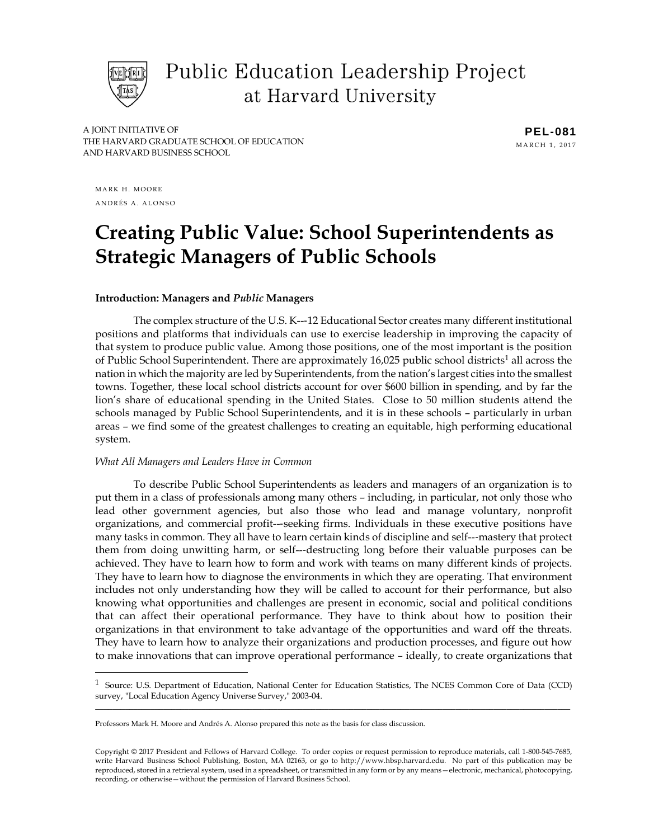

Public Education Leadership Project at Harvard University

A JOINT INITIATIVE OF THE HARVARD GRADUATE SCHOOL OF EDUCATION AND HARVARD BUSINESS SCHOOL

**PEL-081** MARCH 1, 2017

MARK H. MOORE ANDRÉS A. ALONSO

# **Creating Public Value: School Superintendents as Strategic Managers of Public Schools**

#### **Introduction: Managers and** *Public* **Managers**

The complex structure of the U.S. K--‐12 Educational Sector creates many different institutional positions and platforms that individuals can use to exercise leadership in improving the capacity of that system to produce public value. Among those positions, one of the most important is the position of Public School Superintendent. There are approximately 16,025 public school districts<sup>1</sup> all across the nation in which the majority are led by Superintendents, from the nation's largest cities into the smallest towns. Together, these local school districts account for over \$600 billion in spending, and by far the lion's share of educational spending in the United States. Close to 50 million students attend the schools managed by Public School Superintendents, and it is in these schools – particularly in urban areas – we find some of the greatest challenges to creating an equitable, high performing educational system.

#### *What All Managers and Leaders Have in Common*

To describe Public School Superintendents as leaders and managers of an organization is to put them in a class of professionals among many others – including, in particular, not only those who lead other government agencies, but also those who lead and manage voluntary, nonprofit organizations, and commercial profit--‐seeking firms. Individuals in these executive positions have many tasks in common. They all have to learn certain kinds of discipline and self---mastery that protect them from doing unwitting harm, or self--‐destructing long before their valuable purposes can be achieved. They have to learn how to form and work with teams on many different kinds of projects. They have to learn how to diagnose the environments in which they are operating. That environment includes not only understanding how they will be called to account for their performance, but also knowing what opportunities and challenges are present in economic, social and political conditions that can affect their operational performance. They have to think about how to position their organizations in that environment to take advantage of the opportunities and ward off the threats. They have to learn how to analyze their organizations and production processes, and figure out how to make innovations that can improve operational performance – ideally, to create organizations that

\_\_\_\_\_\_\_\_\_\_\_\_\_\_\_\_\_\_\_\_\_\_\_\_\_\_\_\_\_\_\_\_\_\_\_\_\_\_\_\_\_\_\_\_\_\_\_\_\_\_\_\_\_\_\_\_\_\_\_\_\_\_\_\_\_\_\_\_\_\_\_\_\_\_\_\_\_\_\_\_\_\_\_\_\_\_\_\_\_\_\_\_\_\_\_\_\_\_\_\_\_\_\_\_\_\_\_\_\_\_\_\_ <sup>1</sup> Source: U.S. Department of Education, National Center for Education Statistics, The NCES Common Core of Data (CCD) survey, "Local Education Agency Universe Survey," 2003-04.

Professors Mark H. Moore and Andrés A. Alonso prepared this note as the basis for class discussion.

Copyright © 2017 President and Fellows of Harvard College. To order copies or request permission to reproduce materials, call 1-800-545-7685, write Harvard Business School Publishing, Boston, MA 02163, or go to http://www.hbsp.harvard.edu. No part of this publication may be reproduced, stored in a retrieval system, used in a spreadsheet, or transmitted in any form or by any means—electronic, mechanical, photocopying, recording, or otherwise—without the permission of Harvard Business School.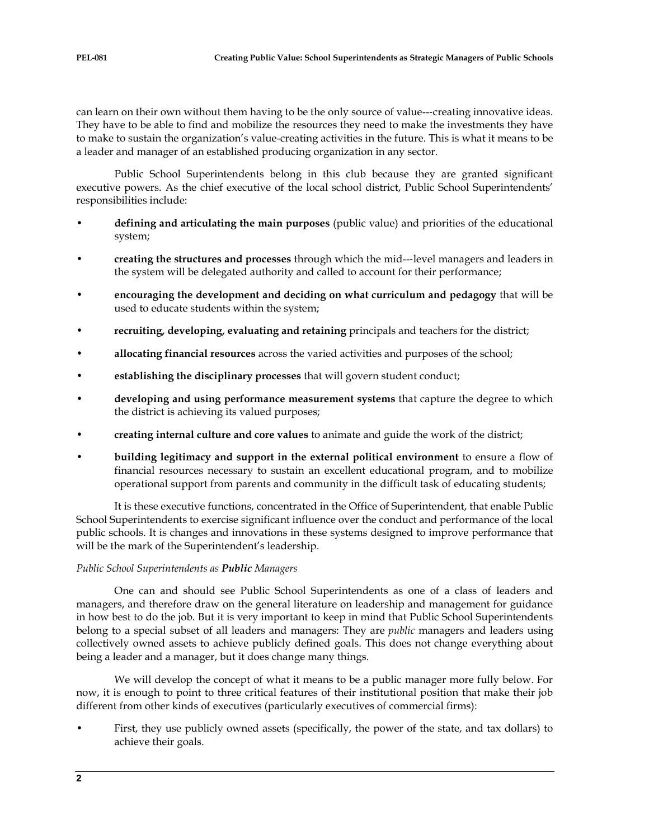can learn on their own without them having to be the only source of value---creating innovative ideas. They have to be able to find and mobilize the resources they need to make the investments they have to make to sustain the organization's value-creating activities in the future. This is what it means to be a leader and manager of an established producing organization in any sector.

Public School Superintendents belong in this club because they are granted significant executive powers. As the chief executive of the local school district, Public School Superintendents' responsibilities include:

- **defining and articulating the main purposes** (public value) and priorities of the educational system;
- **creating the structures and processes** through which the mid--‐level managers and leaders in the system will be delegated authority and called to account for their performance;
- **encouraging the development and deciding on what curriculum and pedagogy** that will be used to educate students within the system;
- **recruiting, developing, evaluating and retaining** principals and teachers for the district;
- **allocating financial resources** across the varied activities and purposes of the school;
- **establishing the disciplinary processes** that will govern student conduct;
- **developing and using performance measurement systems** that capture the degree to which the district is achieving its valued purposes;
- **creating internal culture and core values** to animate and guide the work of the district;
- **building legitimacy and support in the external political environment** to ensure a flow of financial resources necessary to sustain an excellent educational program, and to mobilize operational support from parents and community in the difficult task of educating students;

It is these executive functions, concentrated in the Office of Superintendent, that enable Public School Superintendents to exercise significant influence over the conduct and performance of the local public schools. It is changes and innovations in these systems designed to improve performance that will be the mark of the Superintendent's leadership.

# *Public School Superintendents as Public Managers*

One can and should see Public School Superintendents as one of a class of leaders and managers, and therefore draw on the general literature on leadership and management for guidance in how best to do the job. But it is very important to keep in mind that Public School Superintendents belong to a special subset of all leaders and managers: They are *public* managers and leaders using collectively owned assets to achieve publicly defined goals. This does not change everything about being a leader and a manager, but it does change many things.

We will develop the concept of what it means to be a public manager more fully below. For now, it is enough to point to three critical features of their institutional position that make their job different from other kinds of executives (particularly executives of commercial firms):

• First, they use publicly owned assets (specifically, the power of the state, and tax dollars) to achieve their goals.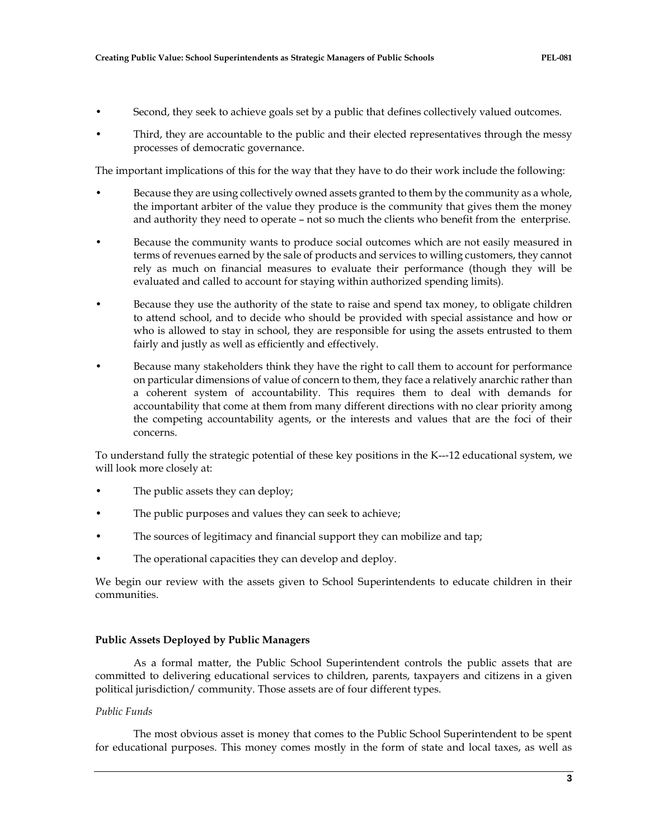- Second, they seek to achieve goals set by a public that defines collectively valued outcomes.
- Third, they are accountable to the public and their elected representatives through the messy processes of democratic governance.

The important implications of this for the way that they have to do their work include the following:

- Because they are using collectively owned assets granted to them by the community as a whole, the important arbiter of the value they produce is the community that gives them the money and authority they need to operate – not so much the clients who benefit from the enterprise.
- Because the community wants to produce social outcomes which are not easily measured in terms of revenues earned by the sale of products and services to willing customers, they cannot rely as much on financial measures to evaluate their performance (though they will be evaluated and called to account for staying within authorized spending limits).
- Because they use the authority of the state to raise and spend tax money, to obligate children to attend school, and to decide who should be provided with special assistance and how or who is allowed to stay in school, they are responsible for using the assets entrusted to them fairly and justly as well as efficiently and effectively.
- Because many stakeholders think they have the right to call them to account for performance on particular dimensions of value of concern to them, they face a relatively anarchic rather than a coherent system of accountability. This requires them to deal with demands for accountability that come at them from many different directions with no clear priority among the competing accountability agents, or the interests and values that are the foci of their concerns.

To understand fully the strategic potential of these key positions in the K--‐12 educational system, we will look more closely at:

- The public assets they can deploy;
- The public purposes and values they can seek to achieve;
- The sources of legitimacy and financial support they can mobilize and tap;
- The operational capacities they can develop and deploy.

We begin our review with the assets given to School Superintendents to educate children in their communities.

# **Public Assets Deployed by Public Managers**

As a formal matter, the Public School Superintendent controls the public assets that are committed to delivering educational services to children, parents, taxpayers and citizens in a given political jurisdiction/ community. Those assets are of four different types.

# *Public Funds*

The most obvious asset is money that comes to the Public School Superintendent to be spent for educational purposes. This money comes mostly in the form of state and local taxes, as well as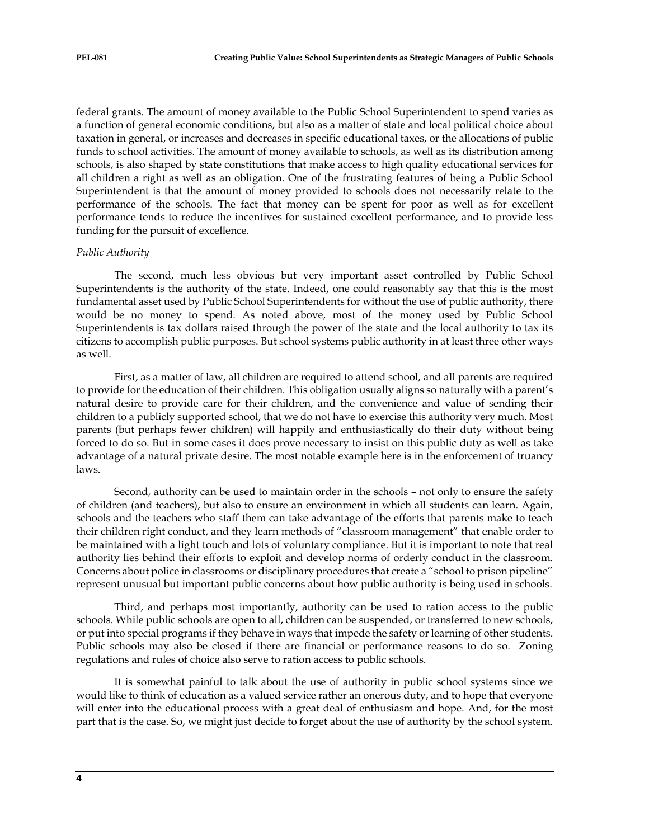federal grants. The amount of money available to the Public School Superintendent to spend varies as a function of general economic conditions, but also as a matter of state and local political choice about taxation in general, or increases and decreases in specific educational taxes, or the allocations of public funds to school activities. The amount of money available to schools, as well as its distribution among schools, is also shaped by state constitutions that make access to high quality educational services for all children a right as well as an obligation. One of the frustrating features of being a Public School Superintendent is that the amount of money provided to schools does not necessarily relate to the performance of the schools. The fact that money can be spent for poor as well as for excellent performance tends to reduce the incentives for sustained excellent performance, and to provide less funding for the pursuit of excellence.

#### *Public Authority*

The second, much less obvious but very important asset controlled by Public School Superintendents is the authority of the state. Indeed, one could reasonably say that this is the most fundamental asset used by Public School Superintendents for without the use of public authority, there would be no money to spend. As noted above, most of the money used by Public School Superintendents is tax dollars raised through the power of the state and the local authority to tax its citizens to accomplish public purposes. But school systems public authority in at least three other ways as well.

First, as a matter of law, all children are required to attend school, and all parents are required to provide for the education of their children. This obligation usually aligns so naturally with a parent's natural desire to provide care for their children, and the convenience and value of sending their children to a publicly supported school, that we do not have to exercise this authority very much. Most parents (but perhaps fewer children) will happily and enthusiastically do their duty without being forced to do so. But in some cases it does prove necessary to insist on this public duty as well as take advantage of a natural private desire. The most notable example here is in the enforcement of truancy laws.

Second, authority can be used to maintain order in the schools – not only to ensure the safety of children (and teachers), but also to ensure an environment in which all students can learn. Again, schools and the teachers who staff them can take advantage of the efforts that parents make to teach their children right conduct, and they learn methods of "classroom management" that enable order to be maintained with a light touch and lots of voluntary compliance. But it is important to note that real authority lies behind their efforts to exploit and develop norms of orderly conduct in the classroom. Concerns about police in classrooms or disciplinary procedures that create a "school to prison pipeline" represent unusual but important public concerns about how public authority is being used in schools.

Third, and perhaps most importantly, authority can be used to ration access to the public schools. While public schools are open to all, children can be suspended, or transferred to new schools, or put into special programs if they behave in ways that impede the safety or learning of other students. Public schools may also be closed if there are financial or performance reasons to do so. Zoning regulations and rules of choice also serve to ration access to public schools.

It is somewhat painful to talk about the use of authority in public school systems since we would like to think of education as a valued service rather an onerous duty, and to hope that everyone will enter into the educational process with a great deal of enthusiasm and hope. And, for the most part that is the case. So, we might just decide to forget about the use of authority by the school system.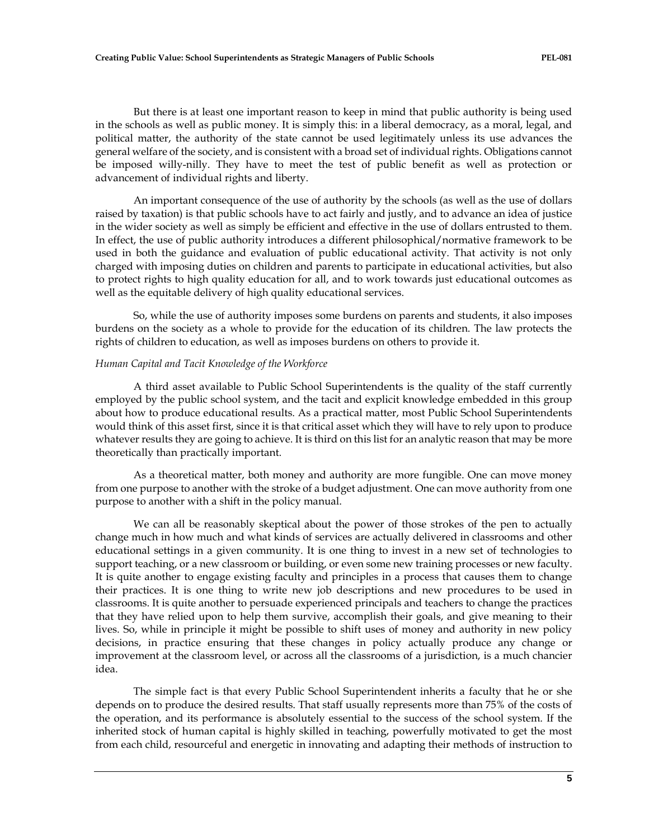But there is at least one important reason to keep in mind that public authority is being used in the schools as well as public money. It is simply this: in a liberal democracy, as a moral, legal, and political matter, the authority of the state cannot be used legitimately unless its use advances the general welfare of the society, and is consistent with a broad set of individual rights. Obligations cannot be imposed willy-nilly. They have to meet the test of public benefit as well as protection or advancement of individual rights and liberty.

An important consequence of the use of authority by the schools (as well as the use of dollars raised by taxation) is that public schools have to act fairly and justly, and to advance an idea of justice in the wider society as well as simply be efficient and effective in the use of dollars entrusted to them. In effect, the use of public authority introduces a different philosophical/normative framework to be used in both the guidance and evaluation of public educational activity. That activity is not only charged with imposing duties on children and parents to participate in educational activities, but also to protect rights to high quality education for all, and to work towards just educational outcomes as well as the equitable delivery of high quality educational services.

So, while the use of authority imposes some burdens on parents and students, it also imposes burdens on the society as a whole to provide for the education of its children. The law protects the rights of children to education, as well as imposes burdens on others to provide it.

#### *Human Capital and Tacit Knowledge of the Workforce*

A third asset available to Public School Superintendents is the quality of the staff currently employed by the public school system, and the tacit and explicit knowledge embedded in this group about how to produce educational results. As a practical matter, most Public School Superintendents would think of this asset first, since it is that critical asset which they will have to rely upon to produce whatever results they are going to achieve. It is third on this list for an analytic reason that may be more theoretically than practically important.

As a theoretical matter, both money and authority are more fungible. One can move money from one purpose to another with the stroke of a budget adjustment. One can move authority from one purpose to another with a shift in the policy manual.

We can all be reasonably skeptical about the power of those strokes of the pen to actually change much in how much and what kinds of services are actually delivered in classrooms and other educational settings in a given community. It is one thing to invest in a new set of technologies to support teaching, or a new classroom or building, or even some new training processes or new faculty. It is quite another to engage existing faculty and principles in a process that causes them to change their practices. It is one thing to write new job descriptions and new procedures to be used in classrooms. It is quite another to persuade experienced principals and teachers to change the practices that they have relied upon to help them survive, accomplish their goals, and give meaning to their lives. So, while in principle it might be possible to shift uses of money and authority in new policy decisions, in practice ensuring that these changes in policy actually produce any change or improvement at the classroom level, or across all the classrooms of a jurisdiction, is a much chancier idea.

The simple fact is that every Public School Superintendent inherits a faculty that he or she depends on to produce the desired results. That staff usually represents more than 75% of the costs of the operation, and its performance is absolutely essential to the success of the school system. If the inherited stock of human capital is highly skilled in teaching, powerfully motivated to get the most from each child, resourceful and energetic in innovating and adapting their methods of instruction to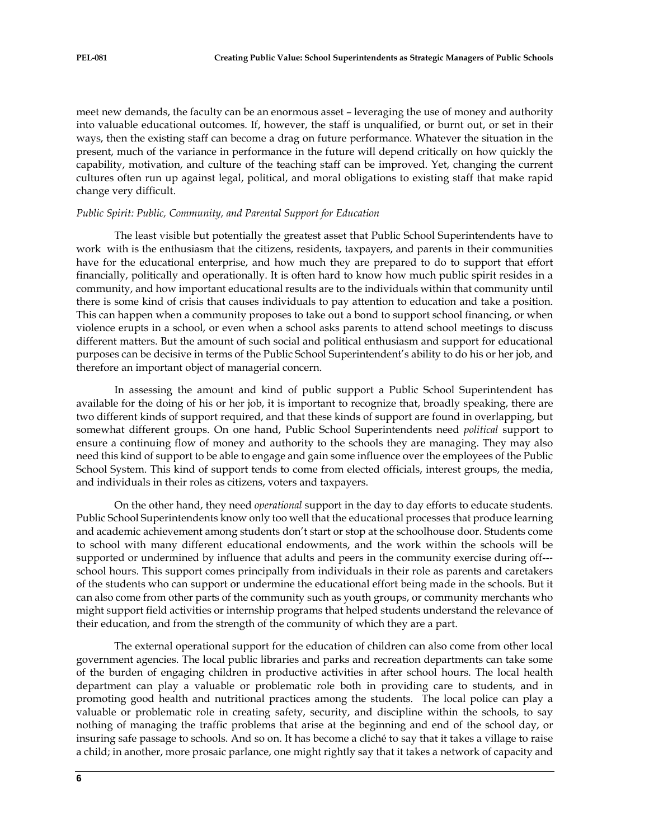meet new demands, the faculty can be an enormous asset – leveraging the use of money and authority into valuable educational outcomes. If, however, the staff is unqualified, or burnt out, or set in their ways, then the existing staff can become a drag on future performance. Whatever the situation in the present, much of the variance in performance in the future will depend critically on how quickly the capability, motivation, and culture of the teaching staff can be improved. Yet, changing the current cultures often run up against legal, political, and moral obligations to existing staff that make rapid change very difficult.

#### *Public Spirit: Public, Community, and Parental Support for Education*

The least visible but potentially the greatest asset that Public School Superintendents have to work with is the enthusiasm that the citizens, residents, taxpayers, and parents in their communities have for the educational enterprise, and how much they are prepared to do to support that effort financially, politically and operationally. It is often hard to know how much public spirit resides in a community, and how important educational results are to the individuals within that community until there is some kind of crisis that causes individuals to pay attention to education and take a position. This can happen when a community proposes to take out a bond to support school financing, or when violence erupts in a school, or even when a school asks parents to attend school meetings to discuss different matters. But the amount of such social and political enthusiasm and support for educational purposes can be decisive in terms of the Public School Superintendent's ability to do his or her job, and therefore an important object of managerial concern.

In assessing the amount and kind of public support a Public School Superintendent has available for the doing of his or her job, it is important to recognize that, broadly speaking, there are two different kinds of support required, and that these kinds of support are found in overlapping, but somewhat different groups. On one hand, Public School Superintendents need *political* support to ensure a continuing flow of money and authority to the schools they are managing. They may also need this kind of support to be able to engage and gain some influence over the employees of the Public School System. This kind of support tends to come from elected officials, interest groups, the media, and individuals in their roles as citizens, voters and taxpayers.

On the other hand, they need *operational* support in the day to day efforts to educate students. Public School Superintendents know only too well that the educational processes that produce learning and academic achievement among students don't start or stop at the schoolhouse door. Students come to school with many different educational endowments, and the work within the schools will be supported or undermined by influence that adults and peers in the community exercise during off--school hours. This support comes principally from individuals in their role as parents and caretakers of the students who can support or undermine the educational effort being made in the schools. But it can also come from other parts of the community such as youth groups, or community merchants who might support field activities or internship programs that helped students understand the relevance of their education, and from the strength of the community of which they are a part.

The external operational support for the education of children can also come from other local government agencies. The local public libraries and parks and recreation departments can take some of the burden of engaging children in productive activities in after school hours. The local health department can play a valuable or problematic role both in providing care to students, and in promoting good health and nutritional practices among the students. The local police can play a valuable or problematic role in creating safety, security, and discipline within the schools, to say nothing of managing the traffic problems that arise at the beginning and end of the school day, or insuring safe passage to schools. And so on. It has become a cliché to say that it takes a village to raise a child; in another, more prosaic parlance, one might rightly say that it takes a network of capacity and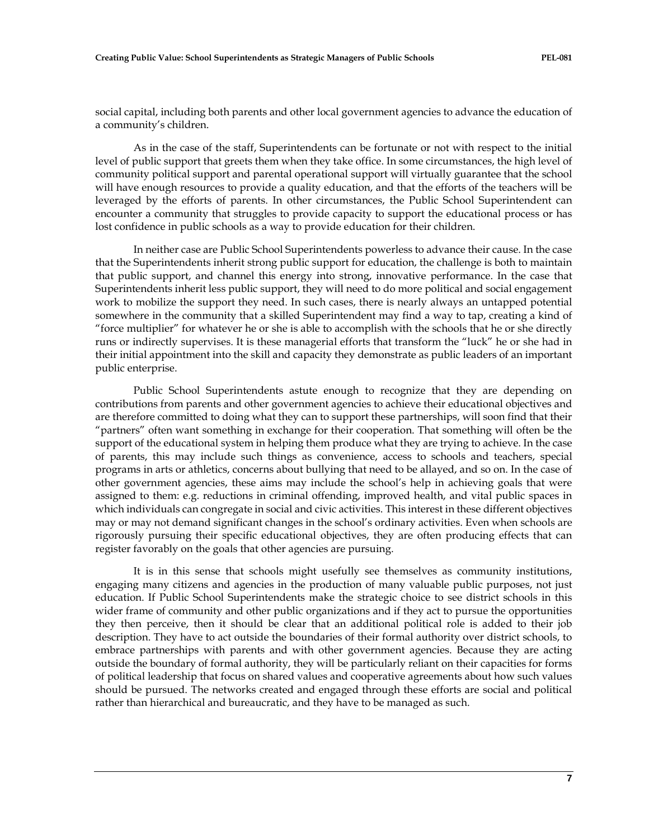social capital, including both parents and other local government agencies to advance the education of a community's children.

As in the case of the staff, Superintendents can be fortunate or not with respect to the initial level of public support that greets them when they take office. In some circumstances, the high level of community political support and parental operational support will virtually guarantee that the school will have enough resources to provide a quality education, and that the efforts of the teachers will be leveraged by the efforts of parents. In other circumstances, the Public School Superintendent can encounter a community that struggles to provide capacity to support the educational process or has lost confidence in public schools as a way to provide education for their children.

In neither case are Public School Superintendents powerless to advance their cause. In the case that the Superintendents inherit strong public support for education, the challenge is both to maintain that public support, and channel this energy into strong, innovative performance. In the case that Superintendents inherit less public support, they will need to do more political and social engagement work to mobilize the support they need. In such cases, there is nearly always an untapped potential somewhere in the community that a skilled Superintendent may find a way to tap, creating a kind of "force multiplier" for whatever he or she is able to accomplish with the schools that he or she directly runs or indirectly supervises. It is these managerial efforts that transform the "luck" he or she had in their initial appointment into the skill and capacity they demonstrate as public leaders of an important public enterprise.

Public School Superintendents astute enough to recognize that they are depending on contributions from parents and other government agencies to achieve their educational objectives and are therefore committed to doing what they can to support these partnerships, will soon find that their "partners" often want something in exchange for their cooperation. That something will often be the support of the educational system in helping them produce what they are trying to achieve. In the case of parents, this may include such things as convenience, access to schools and teachers, special programs in arts or athletics, concerns about bullying that need to be allayed, and so on. In the case of other government agencies, these aims may include the school's help in achieving goals that were assigned to them: e.g. reductions in criminal offending, improved health, and vital public spaces in which individuals can congregate in social and civic activities. This interest in these different objectives may or may not demand significant changes in the school's ordinary activities. Even when schools are rigorously pursuing their specific educational objectives, they are often producing effects that can register favorably on the goals that other agencies are pursuing.

It is in this sense that schools might usefully see themselves as community institutions, engaging many citizens and agencies in the production of many valuable public purposes, not just education. If Public School Superintendents make the strategic choice to see district schools in this wider frame of community and other public organizations and if they act to pursue the opportunities they then perceive, then it should be clear that an additional political role is added to their job description. They have to act outside the boundaries of their formal authority over district schools, to embrace partnerships with parents and with other government agencies. Because they are acting outside the boundary of formal authority, they will be particularly reliant on their capacities for forms of political leadership that focus on shared values and cooperative agreements about how such values should be pursued. The networks created and engaged through these efforts are social and political rather than hierarchical and bureaucratic, and they have to be managed as such.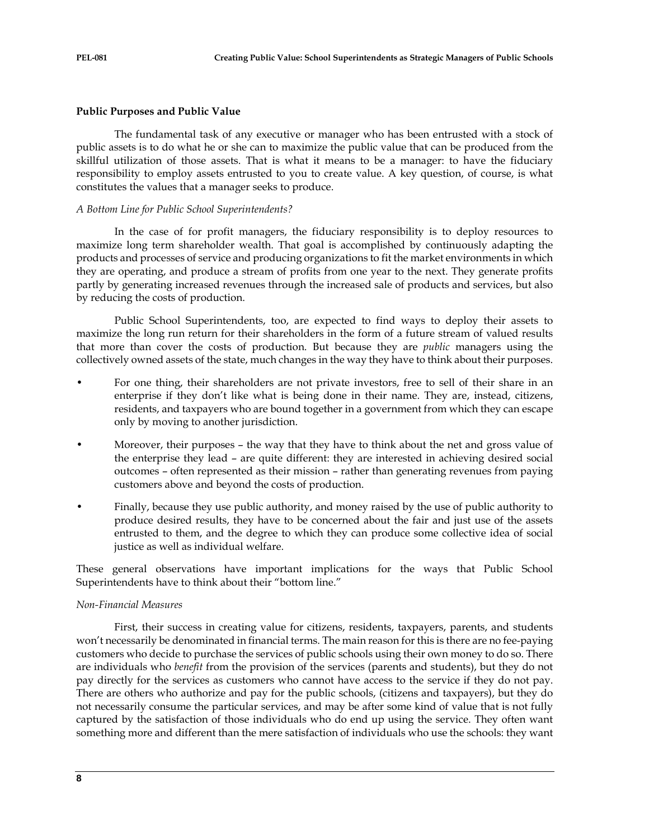## **Public Purposes and Public Value**

The fundamental task of any executive or manager who has been entrusted with a stock of public assets is to do what he or she can to maximize the public value that can be produced from the skillful utilization of those assets. That is what it means to be a manager: to have the fiduciary responsibility to employ assets entrusted to you to create value. A key question, of course, is what constitutes the values that a manager seeks to produce.

## *A Bottom Line for Public School Superintendents?*

In the case of for profit managers, the fiduciary responsibility is to deploy resources to maximize long term shareholder wealth. That goal is accomplished by continuously adapting the products and processes of service and producing organizations to fit the market environments in which they are operating, and produce a stream of profits from one year to the next. They generate profits partly by generating increased revenues through the increased sale of products and services, but also by reducing the costs of production.

Public School Superintendents, too, are expected to find ways to deploy their assets to maximize the long run return for their shareholders in the form of a future stream of valued results that more than cover the costs of production. But because they are *public* managers using the collectively owned assets of the state, much changes in the way they have to think about their purposes.

- For one thing, their shareholders are not private investors, free to sell of their share in an enterprise if they don't like what is being done in their name. They are, instead, citizens, residents, and taxpayers who are bound together in a government from which they can escape only by moving to another jurisdiction.
- Moreover, their purposes the way that they have to think about the net and gross value of the enterprise they lead – are quite different: they are interested in achieving desired social outcomes – often represented as their mission – rather than generating revenues from paying customers above and beyond the costs of production.
- Finally, because they use public authority, and money raised by the use of public authority to produce desired results, they have to be concerned about the fair and just use of the assets entrusted to them, and the degree to which they can produce some collective idea of social justice as well as individual welfare.

These general observations have important implications for the ways that Public School Superintendents have to think about their "bottom line."

#### *Non-Financial Measures*

First, their success in creating value for citizens, residents, taxpayers, parents, and students won't necessarily be denominated in financial terms. The main reason for this is there are no fee-paying customers who decide to purchase the services of public schools using their own money to do so. There are individuals who *benefit* from the provision of the services (parents and students), but they do not pay directly for the services as customers who cannot have access to the service if they do not pay. There are others who authorize and pay for the public schools, (citizens and taxpayers), but they do not necessarily consume the particular services, and may be after some kind of value that is not fully captured by the satisfaction of those individuals who do end up using the service. They often want something more and different than the mere satisfaction of individuals who use the schools: they want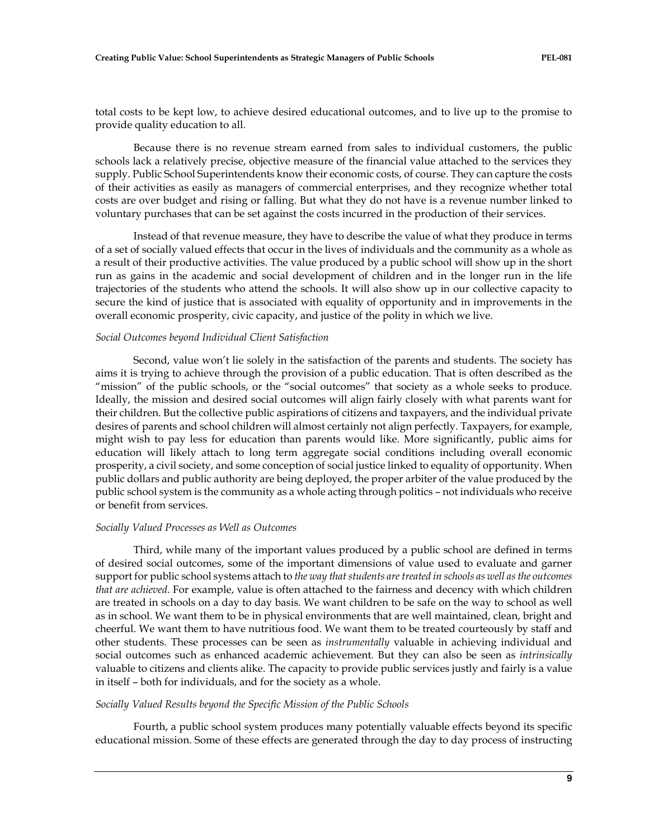total costs to be kept low, to achieve desired educational outcomes, and to live up to the promise to provide quality education to all.

Because there is no revenue stream earned from sales to individual customers, the public schools lack a relatively precise, objective measure of the financial value attached to the services they supply. Public School Superintendents know their economic costs, of course. They can capture the costs of their activities as easily as managers of commercial enterprises, and they recognize whether total costs are over budget and rising or falling. But what they do not have is a revenue number linked to voluntary purchases that can be set against the costs incurred in the production of their services.

Instead of that revenue measure, they have to describe the value of what they produce in terms of a set of socially valued effects that occur in the lives of individuals and the community as a whole as a result of their productive activities. The value produced by a public school will show up in the short run as gains in the academic and social development of children and in the longer run in the life trajectories of the students who attend the schools. It will also show up in our collective capacity to secure the kind of justice that is associated with equality of opportunity and in improvements in the overall economic prosperity, civic capacity, and justice of the polity in which we live.

#### *Social Outcomes beyond Individual Client Satisfaction*

Second, value won't lie solely in the satisfaction of the parents and students. The society has aims it is trying to achieve through the provision of a public education. That is often described as the "mission" of the public schools, or the "social outcomes" that society as a whole seeks to produce. Ideally, the mission and desired social outcomes will align fairly closely with what parents want for their children. But the collective public aspirations of citizens and taxpayers, and the individual private desires of parents and school children will almost certainly not align perfectly. Taxpayers, for example, might wish to pay less for education than parents would like. More significantly, public aims for education will likely attach to long term aggregate social conditions including overall economic prosperity, a civil society, and some conception of social justice linked to equality of opportunity. When public dollars and public authority are being deployed, the proper arbiter of the value produced by the public school system is the community as a whole acting through politics – not individuals who receive or benefit from services.

#### *Socially Valued Processes as Well as Outcomes*

Third, while many of the important values produced by a public school are defined in terms of desired social outcomes, some of the important dimensions of value used to evaluate and garner support for public school systems attach to *the way that students are treated in schools as well as the outcomes that are achieved*. For example, value is often attached to the fairness and decency with which children are treated in schools on a day to day basis. We want children to be safe on the way to school as well as in school. We want them to be in physical environments that are well maintained, clean, bright and cheerful. We want them to have nutritious food. We want them to be treated courteously by staff and other students. These processes can be seen as *instrumentally* valuable in achieving individual and social outcomes such as enhanced academic achievement. But they can also be seen as *intrinsically* valuable to citizens and clients alike. The capacity to provide public services justly and fairly is a value in itself – both for individuals, and for the society as a whole.

#### *Socially Valued Results beyond the Specific Mission of the Public Schools*

Fourth, a public school system produces many potentially valuable effects beyond its specific educational mission. Some of these effects are generated through the day to day process of instructing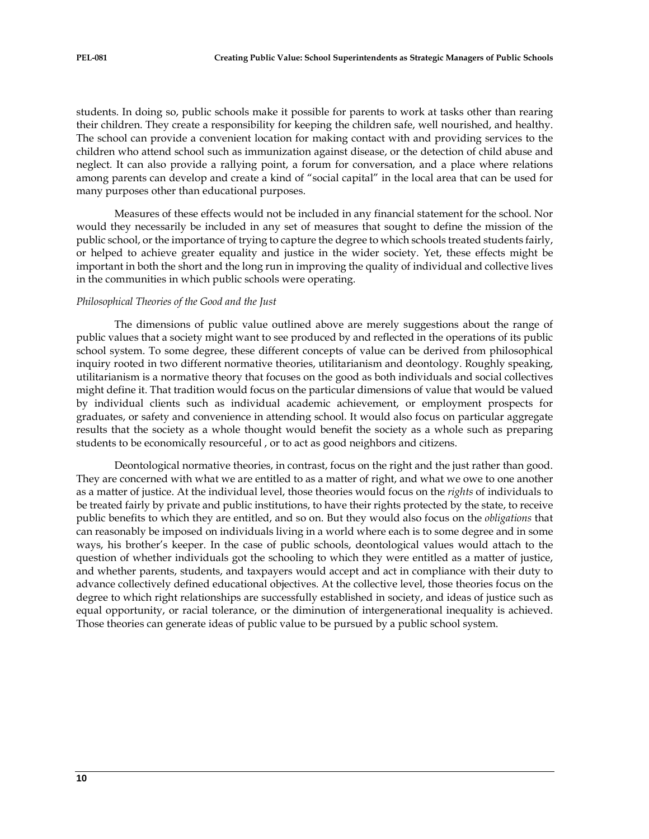students. In doing so, public schools make it possible for parents to work at tasks other than rearing their children. They create a responsibility for keeping the children safe, well nourished, and healthy. The school can provide a convenient location for making contact with and providing services to the children who attend school such as immunization against disease, or the detection of child abuse and neglect. It can also provide a rallying point, a forum for conversation, and a place where relations among parents can develop and create a kind of "social capital" in the local area that can be used for many purposes other than educational purposes.

Measures of these effects would not be included in any financial statement for the school. Nor would they necessarily be included in any set of measures that sought to define the mission of the public school, or the importance of trying to capture the degree to which schools treated students fairly, or helped to achieve greater equality and justice in the wider society. Yet, these effects might be important in both the short and the long run in improving the quality of individual and collective lives in the communities in which public schools were operating.

#### *Philosophical Theories of the Good and the Just*

The dimensions of public value outlined above are merely suggestions about the range of public values that a society might want to see produced by and reflected in the operations of its public school system. To some degree, these different concepts of value can be derived from philosophical inquiry rooted in two different normative theories, utilitarianism and deontology. Roughly speaking, utilitarianism is a normative theory that focuses on the good as both individuals and social collectives might define it. That tradition would focus on the particular dimensions of value that would be valued by individual clients such as individual academic achievement, or employment prospects for graduates, or safety and convenience in attending school. It would also focus on particular aggregate results that the society as a whole thought would benefit the society as a whole such as preparing students to be economically resourceful , or to act as good neighbors and citizens.

Deontological normative theories, in contrast, focus on the right and the just rather than good. They are concerned with what we are entitled to as a matter of right, and what we owe to one another as a matter of justice. At the individual level, those theories would focus on the *rights* of individuals to be treated fairly by private and public institutions, to have their rights protected by the state, to receive public benefits to which they are entitled, and so on. But they would also focus on the *obligations* that can reasonably be imposed on individuals living in a world where each is to some degree and in some ways, his brother's keeper. In the case of public schools, deontological values would attach to the question of whether individuals got the schooling to which they were entitled as a matter of justice, and whether parents, students, and taxpayers would accept and act in compliance with their duty to advance collectively defined educational objectives. At the collective level, those theories focus on the degree to which right relationships are successfully established in society, and ideas of justice such as equal opportunity, or racial tolerance, or the diminution of intergenerational inequality is achieved. Those theories can generate ideas of public value to be pursued by a public school system.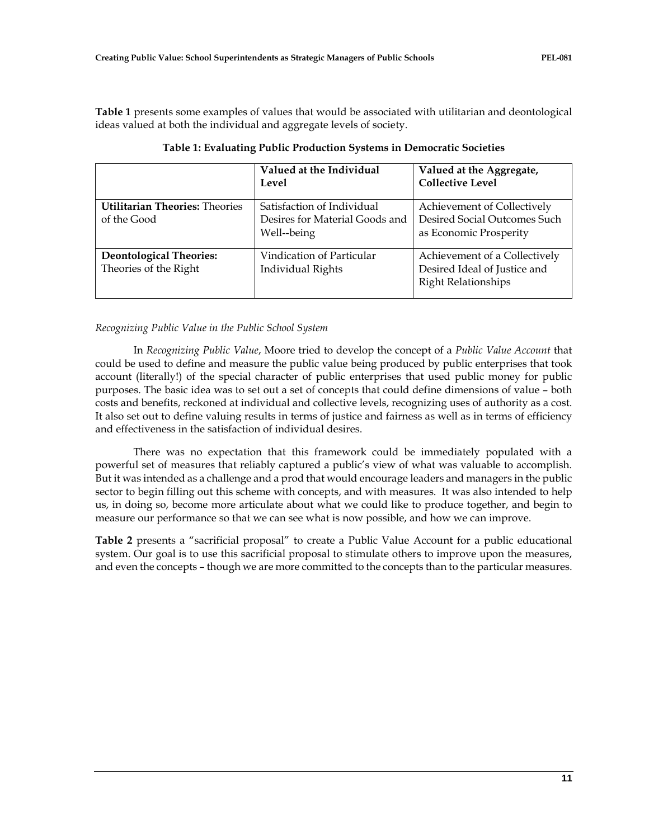**Table 1** presents some examples of values that would be associated with utilitarian and deontological ideas valued at both the individual and aggregate levels of society.

|                                                         | Valued at the Individual<br>Level                                           | Valued at the Aggregate,<br><b>Collective Level</b>                                         |
|---------------------------------------------------------|-----------------------------------------------------------------------------|---------------------------------------------------------------------------------------------|
| <b>Utilitarian Theories: Theories</b><br>of the Good    | Satisfaction of Individual<br>Desires for Material Goods and<br>Well--being | Achievement of Collectively<br>Desired Social Outcomes Such<br>as Economic Prosperity       |
| <b>Deontological Theories:</b><br>Theories of the Right | Vindication of Particular<br><b>Individual Rights</b>                       | Achievement of a Collectively<br>Desired Ideal of Justice and<br><b>Right Relationships</b> |

**Table 1: Evaluating Public Production Systems in Democratic Societies**

# *Recognizing Public Value in the Public School System*

In *Recognizing Public Value*, Moore tried to develop the concept of a *Public Value Account* that could be used to define and measure the public value being produced by public enterprises that took account (literally!) of the special character of public enterprises that used public money for public purposes. The basic idea was to set out a set of concepts that could define dimensions of value – both costs and benefits, reckoned at individual and collective levels, recognizing uses of authority as a cost. It also set out to define valuing results in terms of justice and fairness as well as in terms of efficiency and effectiveness in the satisfaction of individual desires.

There was no expectation that this framework could be immediately populated with a powerful set of measures that reliably captured a public's view of what was valuable to accomplish. But it was intended as a challenge and a prod that would encourage leaders and managers in the public sector to begin filling out this scheme with concepts, and with measures. It was also intended to help us, in doing so, become more articulate about what we could like to produce together, and begin to measure our performance so that we can see what is now possible, and how we can improve.

**Table 2** presents a "sacrificial proposal" to create a Public Value Account for a public educational system. Our goal is to use this sacrificial proposal to stimulate others to improve upon the measures, and even the concepts – though we are more committed to the concepts than to the particular measures.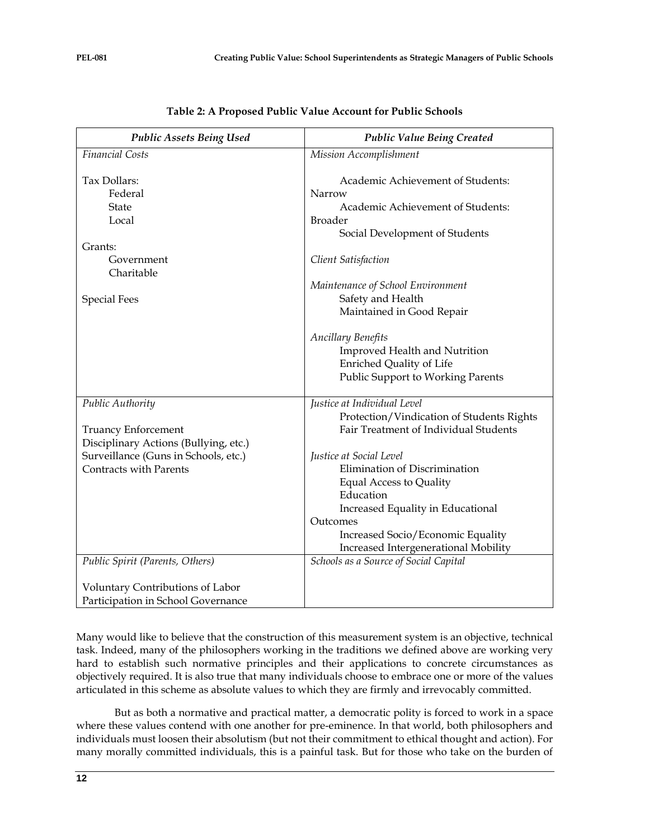| <b>Public Assets Being Used</b>                                                         | <b>Public Value Being Created</b>                                                                                                                                                      |  |  |  |
|-----------------------------------------------------------------------------------------|----------------------------------------------------------------------------------------------------------------------------------------------------------------------------------------|--|--|--|
| <b>Financial Costs</b>                                                                  | <b>Mission Accomplishment</b>                                                                                                                                                          |  |  |  |
| Tax Dollars:<br>Federal<br>State<br>Local                                               | Academic Achievement of Students:<br>Narrow<br>Academic Achievement of Students:<br><b>Broader</b><br>Social Development of Students                                                   |  |  |  |
| Grants:                                                                                 |                                                                                                                                                                                        |  |  |  |
| Government<br>Charitable                                                                | Client Satisfaction                                                                                                                                                                    |  |  |  |
| <b>Special Fees</b>                                                                     | Maintenance of School Environment<br>Safety and Health<br>Maintained in Good Repair                                                                                                    |  |  |  |
|                                                                                         | <b>Ancillary Benefits</b><br>Improved Health and Nutrition<br>Enriched Quality of Life<br>Public Support to Working Parents                                                            |  |  |  |
| Public Authority<br><b>Truancy Enforcement</b><br>Disciplinary Actions (Bullying, etc.) | Justice at Individual Level<br>Protection/Vindication of Students Rights<br>Fair Treatment of Individual Students                                                                      |  |  |  |
| Surveillance (Guns in Schools, etc.)<br>Contracts with Parents                          | Justice at Social Level<br>Elimination of Discrimination<br>Equal Access to Quality<br>Education<br>Increased Equality in Educational<br>Outcomes<br>Increased Socio/Economic Equality |  |  |  |
|                                                                                         | Increased Intergenerational Mobility                                                                                                                                                   |  |  |  |
| Public Spirit (Parents, Others)                                                         | Schools as a Source of Social Capital                                                                                                                                                  |  |  |  |
| Voluntary Contributions of Labor<br>Participation in School Governance                  |                                                                                                                                                                                        |  |  |  |

Many would like to believe that the construction of this measurement system is an objective, technical task. Indeed, many of the philosophers working in the traditions we defined above are working very hard to establish such normative principles and their applications to concrete circumstances as objectively required. It is also true that many individuals choose to embrace one or more of the values articulated in this scheme as absolute values to which they are firmly and irrevocably committed.

But as both a normative and practical matter, a democratic polity is forced to work in a space where these values contend with one another for pre-eminence. In that world, both philosophers and individuals must loosen their absolutism (but not their commitment to ethical thought and action). For many morally committed individuals, this is a painful task. But for those who take on the burden of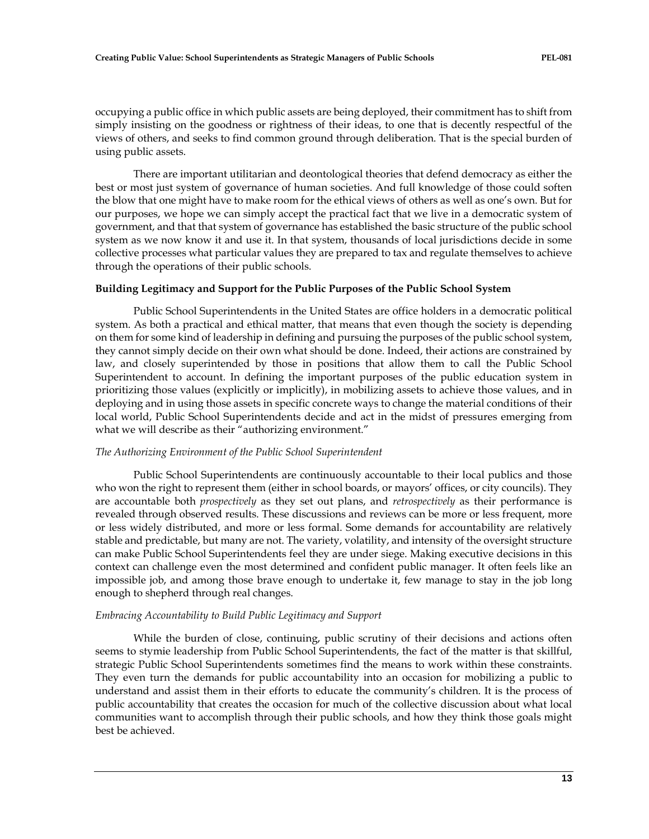occupying a public office in which public assets are being deployed, their commitment has to shift from simply insisting on the goodness or rightness of their ideas, to one that is decently respectful of the views of others, and seeks to find common ground through deliberation. That is the special burden of using public assets.

There are important utilitarian and deontological theories that defend democracy as either the best or most just system of governance of human societies. And full knowledge of those could soften the blow that one might have to make room for the ethical views of others as well as one's own. But for our purposes, we hope we can simply accept the practical fact that we live in a democratic system of government, and that that system of governance has established the basic structure of the public school system as we now know it and use it. In that system, thousands of local jurisdictions decide in some collective processes what particular values they are prepared to tax and regulate themselves to achieve through the operations of their public schools.

#### **Building Legitimacy and Support for the Public Purposes of the Public School System**

Public School Superintendents in the United States are office holders in a democratic political system. As both a practical and ethical matter, that means that even though the society is depending on them for some kind of leadership in defining and pursuing the purposes of the public school system, they cannot simply decide on their own what should be done. Indeed, their actions are constrained by law, and closely superintended by those in positions that allow them to call the Public School Superintendent to account. In defining the important purposes of the public education system in prioritizing those values (explicitly or implicitly), in mobilizing assets to achieve those values, and in deploying and in using those assets in specific concrete ways to change the material conditions of their local world, Public School Superintendents decide and act in the midst of pressures emerging from what we will describe as their "authorizing environment."

#### *The Authorizing Environment of the Public School Superintendent*

Public School Superintendents are continuously accountable to their local publics and those who won the right to represent them (either in school boards, or mayors' offices, or city councils). They are accountable both *prospectively* as they set out plans, and *retrospectively* as their performance is revealed through observed results. These discussions and reviews can be more or less frequent, more or less widely distributed, and more or less formal. Some demands for accountability are relatively stable and predictable, but many are not. The variety, volatility, and intensity of the oversight structure can make Public School Superintendents feel they are under siege. Making executive decisions in this context can challenge even the most determined and confident public manager. It often feels like an impossible job, and among those brave enough to undertake it, few manage to stay in the job long enough to shepherd through real changes.

#### *Embracing Accountability to Build Public Legitimacy and Support*

While the burden of close, continuing, public scrutiny of their decisions and actions often seems to stymie leadership from Public School Superintendents, the fact of the matter is that skillful, strategic Public School Superintendents sometimes find the means to work within these constraints. They even turn the demands for public accountability into an occasion for mobilizing a public to understand and assist them in their efforts to educate the community's children. It is the process of public accountability that creates the occasion for much of the collective discussion about what local communities want to accomplish through their public schools, and how they think those goals might best be achieved.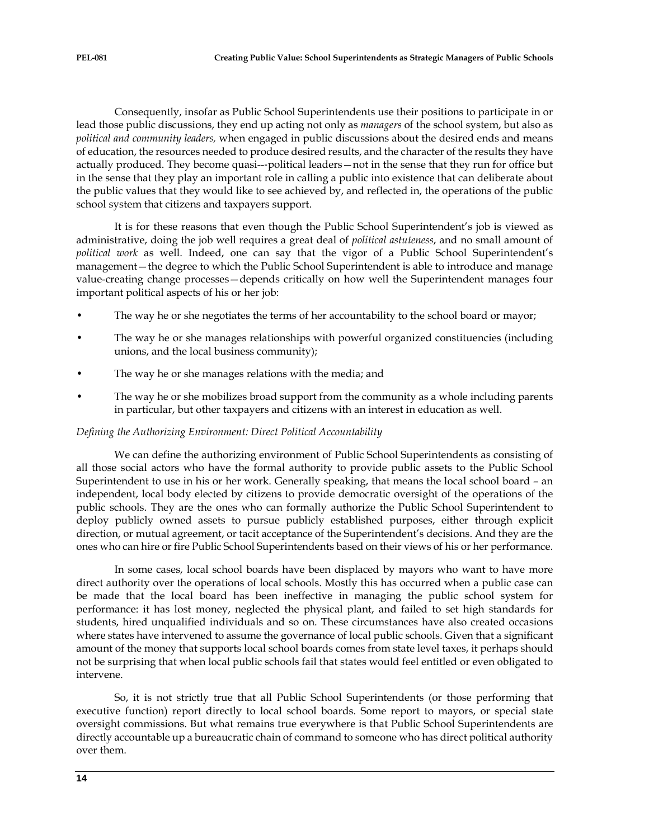Consequently, insofar as Public School Superintendents use their positions to participate in or lead those public discussions, they end up acting not only as *managers* of the school system, but also as *political and community leaders,* when engaged in public discussions about the desired ends and means of education, the resources needed to produce desired results, and the character of the results they have actually produced. They become quasi--‐political leaders—not in the sense that they run for office but in the sense that they play an important role in calling a public into existence that can deliberate about the public values that they would like to see achieved by, and reflected in, the operations of the public school system that citizens and taxpayers support.

It is for these reasons that even though the Public School Superintendent's job is viewed as administrative, doing the job well requires a great deal of *political astuteness*, and no small amount of *political work* as well. Indeed, one can say that the vigor of a Public School Superintendent's management—the degree to which the Public School Superintendent is able to introduce and manage value-creating change processes—depends critically on how well the Superintendent manages four important political aspects of his or her job:

- The way he or she negotiates the terms of her accountability to the school board or mayor;
- The way he or she manages relationships with powerful organized constituencies (including unions, and the local business community);
- The way he or she manages relations with the media; and
- The way he or she mobilizes broad support from the community as a whole including parents in particular, but other taxpayers and citizens with an interest in education as well.

# *Defining the Authorizing Environment: Direct Political Accountability*

We can define the authorizing environment of Public School Superintendents as consisting of all those social actors who have the formal authority to provide public assets to the Public School Superintendent to use in his or her work. Generally speaking, that means the local school board – an independent, local body elected by citizens to provide democratic oversight of the operations of the public schools. They are the ones who can formally authorize the Public School Superintendent to deploy publicly owned assets to pursue publicly established purposes, either through explicit direction, or mutual agreement, or tacit acceptance of the Superintendent's decisions. And they are the ones who can hire or fire Public School Superintendents based on their views of his or her performance.

In some cases, local school boards have been displaced by mayors who want to have more direct authority over the operations of local schools. Mostly this has occurred when a public case can be made that the local board has been ineffective in managing the public school system for performance: it has lost money, neglected the physical plant, and failed to set high standards for students, hired unqualified individuals and so on. These circumstances have also created occasions where states have intervened to assume the governance of local public schools. Given that a significant amount of the money that supports local school boards comes from state level taxes, it perhaps should not be surprising that when local public schools fail that states would feel entitled or even obligated to intervene.

So, it is not strictly true that all Public School Superintendents (or those performing that executive function) report directly to local school boards. Some report to mayors, or special state oversight commissions. But what remains true everywhere is that Public School Superintendents are directly accountable up a bureaucratic chain of command to someone who has direct political authority over them.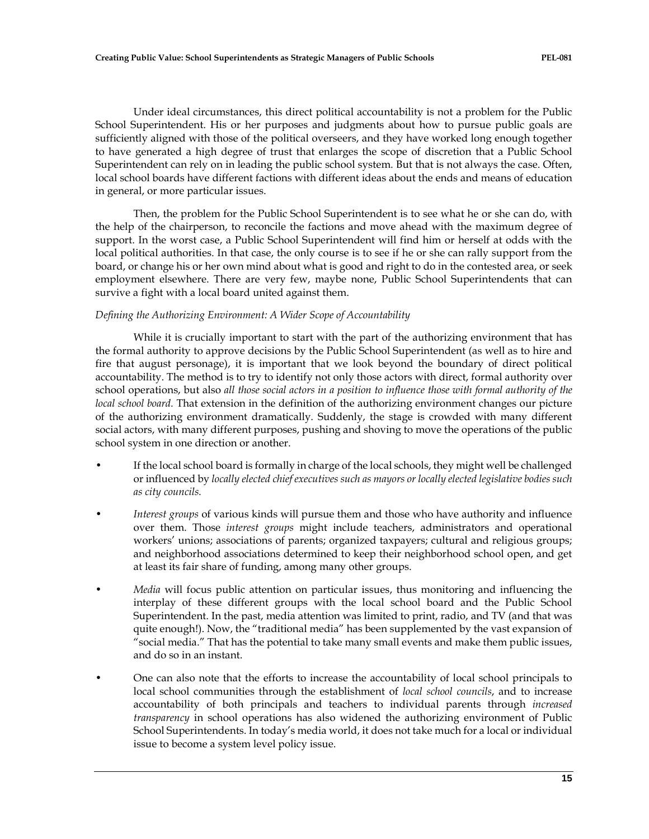Under ideal circumstances, this direct political accountability is not a problem for the Public School Superintendent. His or her purposes and judgments about how to pursue public goals are sufficiently aligned with those of the political overseers, and they have worked long enough together to have generated a high degree of trust that enlarges the scope of discretion that a Public School Superintendent can rely on in leading the public school system. But that is not always the case. Often, local school boards have different factions with different ideas about the ends and means of education in general, or more particular issues.

Then, the problem for the Public School Superintendent is to see what he or she can do, with the help of the chairperson, to reconcile the factions and move ahead with the maximum degree of support. In the worst case, a Public School Superintendent will find him or herself at odds with the local political authorities. In that case, the only course is to see if he or she can rally support from the board, or change his or her own mind about what is good and right to do in the contested area, or seek employment elsewhere. There are very few, maybe none, Public School Superintendents that can survive a fight with a local board united against them.

# *Defining the Authorizing Environment: A Wider Scope of Accountability*

While it is crucially important to start with the part of the authorizing environment that has the formal authority to approve decisions by the Public School Superintendent (as well as to hire and fire that august personage), it is important that we look beyond the boundary of direct political accountability. The method is to try to identify not only those actors with direct, formal authority over school operations, but also *all those social actors in a position to influence those with formal authority of the local school board.* That extension in the definition of the authorizing environment changes our picture of the authorizing environment dramatically. Suddenly, the stage is crowded with many different social actors, with many different purposes, pushing and shoving to move the operations of the public school system in one direction or another.

- If the local school board is formally in charge of the local schools, they might well be challenged or influenced by *locally elected chief executives such as mayors or locally elected legislative bodies such as city councils.*
- *Interest groups* of various kinds will pursue them and those who have authority and influence over them. Those *interest groups* might include teachers, administrators and operational workers' unions; associations of parents; organized taxpayers; cultural and religious groups; and neighborhood associations determined to keep their neighborhood school open, and get at least its fair share of funding, among many other groups.
- *Media* will focus public attention on particular issues, thus monitoring and influencing the interplay of these different groups with the local school board and the Public School Superintendent. In the past, media attention was limited to print, radio, and TV (and that was quite enough!). Now, the "traditional media" has been supplemented by the vast expansion of "social media." That has the potential to take many small events and make them public issues, and do so in an instant.
- One can also note that the efforts to increase the accountability of local school principals to local school communities through the establishment of *local school councils*, and to increase accountability of both principals and teachers to individual parents through *increased transparency* in school operations has also widened the authorizing environment of Public School Superintendents. In today's media world, it does not take much for a local or individual issue to become a system level policy issue.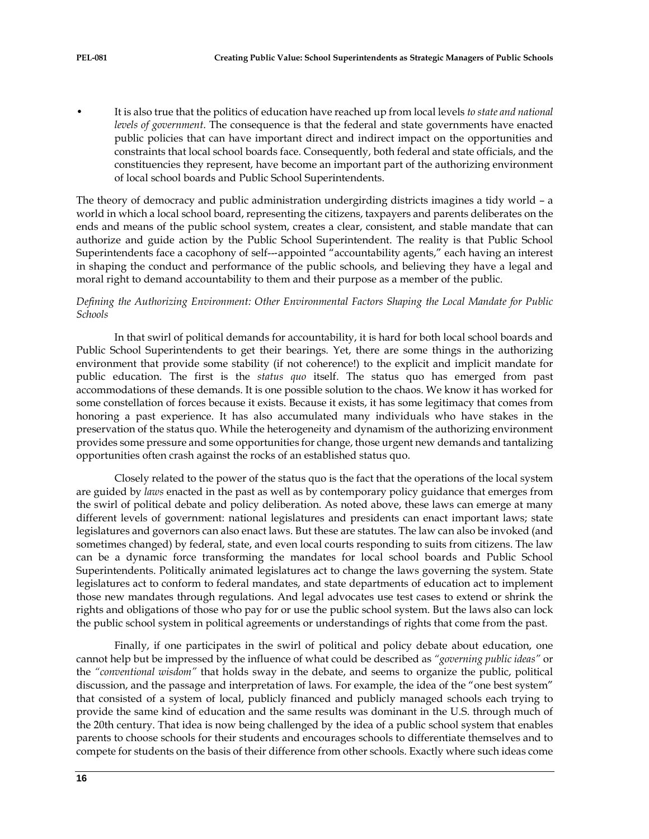• It is also true that the politics of education have reached up from local levels *to state and national levels of government*. The consequence is that the federal and state governments have enacted public policies that can have important direct and indirect impact on the opportunities and constraints that local school boards face. Consequently, both federal and state officials, and the constituencies they represent, have become an important part of the authorizing environment of local school boards and Public School Superintendents.

The theory of democracy and public administration undergirding districts imagines a tidy world – a world in which a local school board, representing the citizens, taxpayers and parents deliberates on the ends and means of the public school system, creates a clear, consistent, and stable mandate that can authorize and guide action by the Public School Superintendent. The reality is that Public School Superintendents face a cacophony of self--‐appointed "accountability agents," each having an interest in shaping the conduct and performance of the public schools, and believing they have a legal and moral right to demand accountability to them and their purpose as a member of the public.

## *Defining the Authorizing Environment: Other Environmental Factors Shaping the Local Mandate for Public Schools*

In that swirl of political demands for accountability, it is hard for both local school boards and Public School Superintendents to get their bearings. Yet, there are some things in the authorizing environment that provide some stability (if not coherence!) to the explicit and implicit mandate for public education. The first is the *status quo* itself. The status quo has emerged from past accommodations of these demands. It is one possible solution to the chaos. We know it has worked for some constellation of forces because it exists. Because it exists, it has some legitimacy that comes from honoring a past experience. It has also accumulated many individuals who have stakes in the preservation of the status quo. While the heterogeneity and dynamism of the authorizing environment provides some pressure and some opportunities for change, those urgent new demands and tantalizing opportunities often crash against the rocks of an established status quo.

Closely related to the power of the status quo is the fact that the operations of the local system are guided by *laws* enacted in the past as well as by contemporary policy guidance that emerges from the swirl of political debate and policy deliberation. As noted above, these laws can emerge at many different levels of government: national legislatures and presidents can enact important laws; state legislatures and governors can also enact laws. But these are statutes. The law can also be invoked (and sometimes changed) by federal, state, and even local courts responding to suits from citizens. The law can be a dynamic force transforming the mandates for local school boards and Public School Superintendents. Politically animated legislatures act to change the laws governing the system. State legislatures act to conform to federal mandates, and state departments of education act to implement those new mandates through regulations. And legal advocates use test cases to extend or shrink the rights and obligations of those who pay for or use the public school system. But the laws also can lock the public school system in political agreements or understandings of rights that come from the past.

Finally, if one participates in the swirl of political and policy debate about education, one cannot help but be impressed by the influence of what could be described as *"governing public ideas"* or the *"conventional wisdom"* that holds sway in the debate, and seems to organize the public, political discussion, and the passage and interpretation of laws. For example, the idea of the "one best system" that consisted of a system of local, publicly financed and publicly managed schools each trying to provide the same kind of education and the same results was dominant in the U.S. through much of the 20th century. That idea is now being challenged by the idea of a public school system that enables parents to choose schools for their students and encourages schools to differentiate themselves and to compete for students on the basis of their difference from other schools. Exactly where such ideas come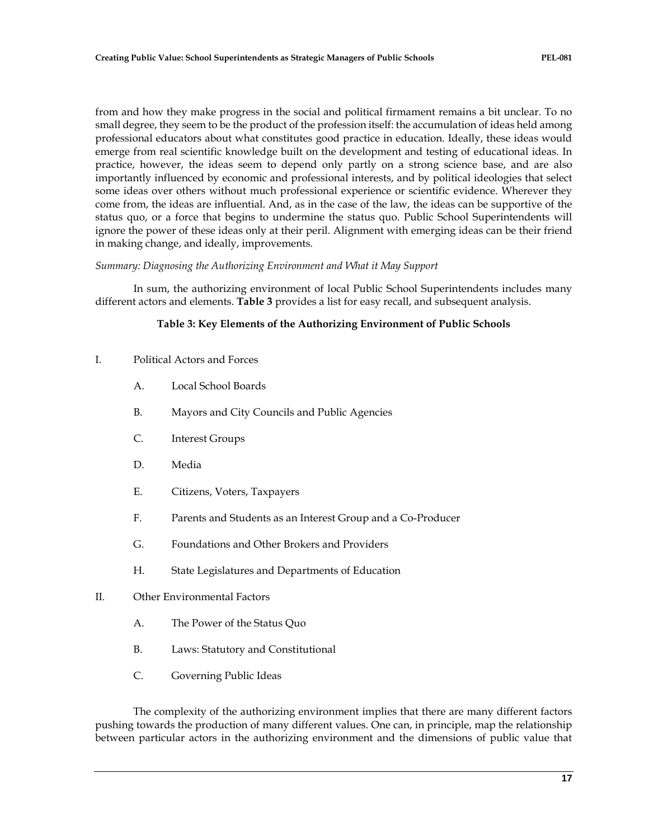from and how they make progress in the social and political firmament remains a bit unclear. To no small degree, they seem to be the product of the profession itself: the accumulation of ideas held among professional educators about what constitutes good practice in education. Ideally, these ideas would emerge from real scientific knowledge built on the development and testing of educational ideas. In practice, however, the ideas seem to depend only partly on a strong science base, and are also importantly influenced by economic and professional interests, and by political ideologies that select some ideas over others without much professional experience or scientific evidence. Wherever they come from, the ideas are influential. And, as in the case of the law, the ideas can be supportive of the status quo, or a force that begins to undermine the status quo. Public School Superintendents will ignore the power of these ideas only at their peril. Alignment with emerging ideas can be their friend in making change, and ideally, improvements.

# *Summary: Diagnosing the Authorizing Environment and What it May Support*

In sum, the authorizing environment of local Public School Superintendents includes many different actors and elements. **Table 3** provides a list for easy recall, and subsequent analysis.

# **Table 3: Key Elements of the Authorizing Environment of Public Schools**

- I. Political Actors and Forces
	- A. Local School Boards
	- B. Mayors and City Councils and Public Agencies
	- C. Interest Groups
	- D. Media
	- E. Citizens, Voters, Taxpayers
	- F. Parents and Students as an Interest Group and a Co-Producer
	- G. Foundations and Other Brokers and Providers
	- H. State Legislatures and Departments of Education
- II. Other Environmental Factors
	- A. The Power of the Status Quo
	- B. Laws: Statutory and Constitutional
	- C. Governing Public Ideas

The complexity of the authorizing environment implies that there are many different factors pushing towards the production of many different values. One can, in principle, map the relationship between particular actors in the authorizing environment and the dimensions of public value that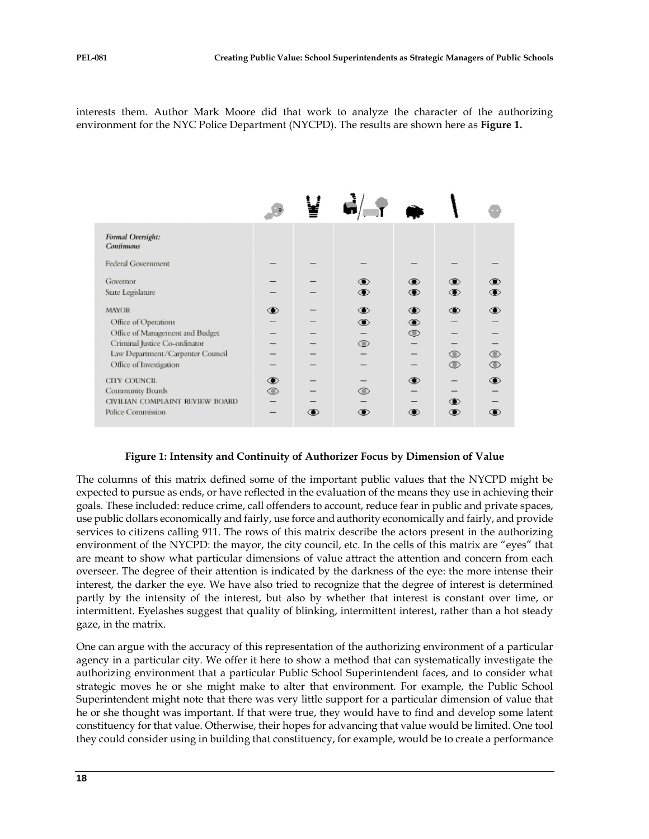interests them. Author Mark Moore did that work to analyze the character of the authorizing environment for the NYC Police Department (NYCPD). The results are shown here as **Figure 1.**

| Formal Oversight:<br><b>Continuous</b>                                                                                                                                  |                    |            |                                |                          |                                                |                                       |
|-------------------------------------------------------------------------------------------------------------------------------------------------------------------------|--------------------|------------|--------------------------------|--------------------------|------------------------------------------------|---------------------------------------|
| Federal Government                                                                                                                                                      |                    |            |                                |                          |                                                |                                       |
| Governor<br>State Legislature                                                                                                                                           |                    |            | $^\circledR$<br>$\bigcirc$     | $^{\circ}$<br>$\bullet$  | $\circ$<br>$\circledast$                       | ◉<br>◉                                |
| <b>MAYOR</b><br>Office of Operations<br>Office of Management and Budget<br>Criminal Justice Co-ordinator<br>Law Department/Carpenter Council<br>Office of Investigation | $\circledast$      |            | $\bullet$<br>◉<br>$^\circledR$ | ◉<br>۰<br>$\circledcirc$ | $\bigcirc$<br>$\circledcirc$<br>$\circledcirc$ | ◉<br>$\circledcirc$<br>$\circledcirc$ |
| CITY COUNCIL<br>Community Boards<br>CIVILIAN COMPLAINT REVIEW BOARD<br>Police Commission                                                                                | $\circledast$<br>◉ | $\bigcirc$ | ◉<br>$^{\circ}$                | $\circledast$            | $\circledast$<br>$\circ$                       | ⊕                                     |

#### **Figure 1: Intensity and Continuity of Authorizer Focus by Dimension of Value**

The columns of this matrix defined some of the important public values that the NYCPD might be expected to pursue as ends, or have reflected in the evaluation of the means they use in achieving their goals. These included: reduce crime, call offenders to account, reduce fear in public and private spaces, use public dollars economically and fairly, use force and authority economically and fairly, and provide services to citizens calling 911. The rows of this matrix describe the actors present in the authorizing environment of the NYCPD: the mayor, the city council, etc. In the cells of this matrix are "eyes" that are meant to show what particular dimensions of value attract the attention and concern from each overseer. The degree of their attention is indicated by the darkness of the eye: the more intense their interest, the darker the eye. We have also tried to recognize that the degree of interest is determined partly by the intensity of the interest, but also by whether that interest is constant over time, or intermittent. Eyelashes suggest that quality of blinking, intermittent interest, rather than a hot steady gaze, in the matrix.

One can argue with the accuracy of this representation of the authorizing environment of a particular agency in a particular city. We offer it here to show a method that can systematically investigate the authorizing environment that a particular Public School Superintendent faces, and to consider what strategic moves he or she might make to alter that environment. For example, the Public School Superintendent might note that there was very little support for a particular dimension of value that he or she thought was important. If that were true, they would have to find and develop some latent constituency for that value. Otherwise, their hopes for advancing that value would be limited. One tool they could consider using in building that constituency, for example, would be to create a performance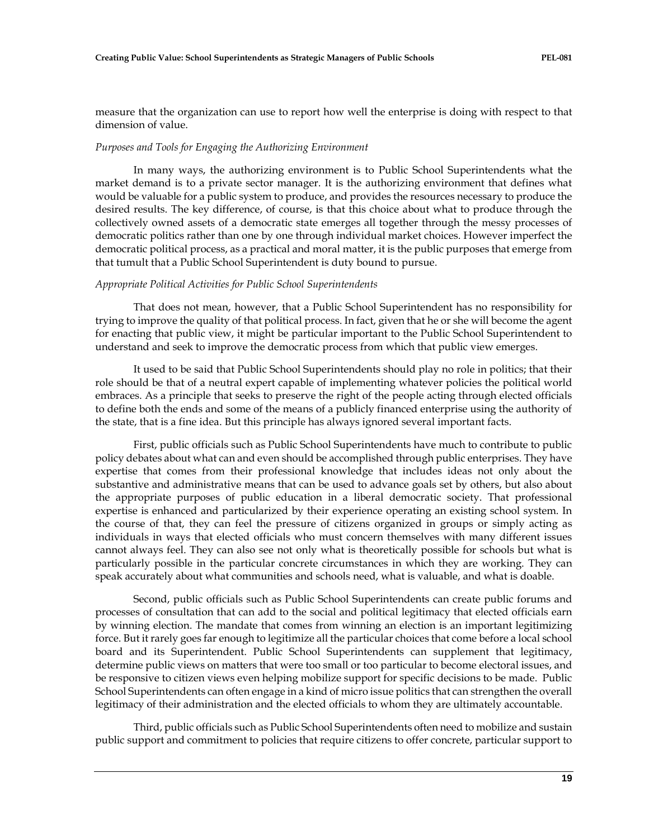measure that the organization can use to report how well the enterprise is doing with respect to that dimension of value.

#### *Purposes and Tools for Engaging the Authorizing Environment*

In many ways, the authorizing environment is to Public School Superintendents what the market demand is to a private sector manager. It is the authorizing environment that defines what would be valuable for a public system to produce, and provides the resources necessary to produce the desired results. The key difference, of course, is that this choice about what to produce through the collectively owned assets of a democratic state emerges all together through the messy processes of democratic politics rather than one by one through individual market choices. However imperfect the democratic political process, as a practical and moral matter, it is the public purposes that emerge from that tumult that a Public School Superintendent is duty bound to pursue.

#### *Appropriate Political Activities for Public School Superintendents*

That does not mean, however, that a Public School Superintendent has no responsibility for trying to improve the quality of that political process. In fact, given that he or she will become the agent for enacting that public view, it might be particular important to the Public School Superintendent to understand and seek to improve the democratic process from which that public view emerges.

It used to be said that Public School Superintendents should play no role in politics; that their role should be that of a neutral expert capable of implementing whatever policies the political world embraces. As a principle that seeks to preserve the right of the people acting through elected officials to define both the ends and some of the means of a publicly financed enterprise using the authority of the state, that is a fine idea. But this principle has always ignored several important facts.

First, public officials such as Public School Superintendents have much to contribute to public policy debates about what can and even should be accomplished through public enterprises. They have expertise that comes from their professional knowledge that includes ideas not only about the substantive and administrative means that can be used to advance goals set by others, but also about the appropriate purposes of public education in a liberal democratic society. That professional expertise is enhanced and particularized by their experience operating an existing school system. In the course of that, they can feel the pressure of citizens organized in groups or simply acting as individuals in ways that elected officials who must concern themselves with many different issues cannot always feel. They can also see not only what is theoretically possible for schools but what is particularly possible in the particular concrete circumstances in which they are working. They can speak accurately about what communities and schools need, what is valuable, and what is doable.

Second, public officials such as Public School Superintendents can create public forums and processes of consultation that can add to the social and political legitimacy that elected officials earn by winning election. The mandate that comes from winning an election is an important legitimizing force. But it rarely goes far enough to legitimize all the particular choices that come before a local school board and its Superintendent. Public School Superintendents can supplement that legitimacy, determine public views on matters that were too small or too particular to become electoral issues, and be responsive to citizen views even helping mobilize support for specific decisions to be made. Public School Superintendents can often engage in a kind of micro issue politics that can strengthen the overall legitimacy of their administration and the elected officials to whom they are ultimately accountable.

Third, public officials such as Public School Superintendents often need to mobilize and sustain public support and commitment to policies that require citizens to offer concrete, particular support to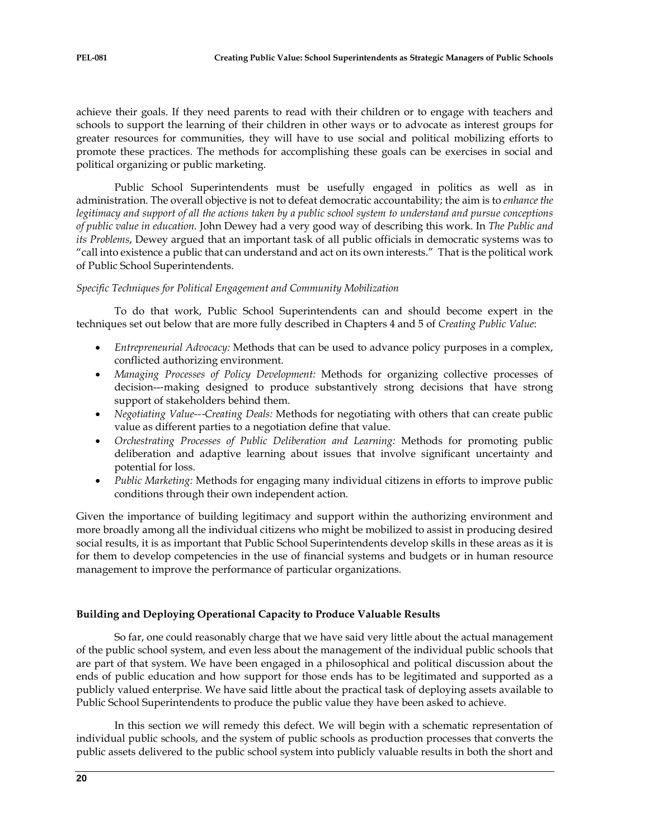achieve their goals. If they need parents to read with their children or to engage with teachers and schools to support the learning of their children in other ways or to advocate as interest groups for greater resources for communities, they will have to use social and political mobilizing efforts to promote these practices. The methods for accomplishing these goals can be exercises in social and political organizing or public marketing.

Public School Superintendents must be usefully engaged in politics as well as in administration. The overall objective is not to defeat democratic accountability; the aim is to *enhance the legitimacy and support of all the actions taken by a public school system to understand and pursue conceptions of public value in education.* John Dewey had a very good way of describing this work. In *The Public and its Problems*, Dewey argued that an important task of all public officials in democratic systems was to "call into existence a public that can understand and act on its own interests." That is the political work of Public School Superintendents.

# *Specific Techniques for Political Engagement and Community Mobilization*

To do that work, Public School Superintendents can and should become expert in the techniques set out below that are more fully described in Chapters 4 and 5 of *Creating Public Value*:

- *Entrepreneurial Advocacy:* Methods that can be used to advance policy purposes in a complex, conflicted authorizing environment.
- *Managing Processes of Policy Development:* Methods for organizing collective processes of decision--‐making designed to produce substantively strong decisions that have strong support of stakeholders behind them.
- *Negotiating Value--*‐*Creating Deals:* Methods for negotiating with others that can create public value as different parties to a negotiation define that value.
- *Orchestrating Processes of Public Deliberation and Learning:* Methods for promoting public deliberation and adaptive learning about issues that involve significant uncertainty and potential for loss.
- *Public Marketing:* Methods for engaging many individual citizens in efforts to improve public conditions through their own independent action.

Given the importance of building legitimacy and support within the authorizing environment and more broadly among all the individual citizens who might be mobilized to assist in producing desired social results, it is as important that Public School Superintendents develop skills in these areas as it is for them to develop competencies in the use of financial systems and budgets or in human resource management to improve the performance of particular organizations.

# **Building and Deploying Operational Capacity to Produce Valuable Results**

So far, one could reasonably charge that we have said very little about the actual management of the public school system, and even less about the management of the individual public schools that are part of that system. We have been engaged in a philosophical and political discussion about the ends of public education and how support for those ends has to be legitimated and supported as a publicly valued enterprise. We have said little about the practical task of deploying assets available to Public School Superintendents to produce the public value they have been asked to achieve.

In this section we will remedy this defect. We will begin with a schematic representation of individual public schools, and the system of public schools as production processes that converts the public assets delivered to the public school system into publicly valuable results in both the short and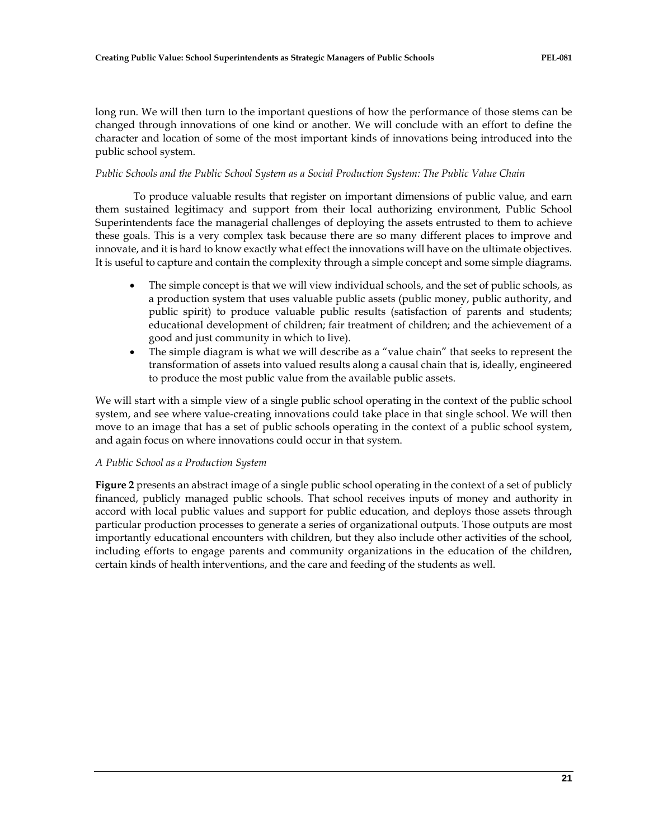long run. We will then turn to the important questions of how the performance of those stems can be changed through innovations of one kind or another. We will conclude with an effort to define the character and location of some of the most important kinds of innovations being introduced into the public school system.

# *Public Schools and the Public School System as a Social Production System: The Public Value Chain*

To produce valuable results that register on important dimensions of public value, and earn them sustained legitimacy and support from their local authorizing environment, Public School Superintendents face the managerial challenges of deploying the assets entrusted to them to achieve these goals. This is a very complex task because there are so many different places to improve and innovate, and it is hard to know exactly what effect the innovations will have on the ultimate objectives. It is useful to capture and contain the complexity through a simple concept and some simple diagrams.

- The simple concept is that we will view individual schools, and the set of public schools, as a production system that uses valuable public assets (public money, public authority, and public spirit) to produce valuable public results (satisfaction of parents and students; educational development of children; fair treatment of children; and the achievement of a good and just community in which to live).
- The simple diagram is what we will describe as a "value chain" that seeks to represent the transformation of assets into valued results along a causal chain that is, ideally, engineered to produce the most public value from the available public assets.

We will start with a simple view of a single public school operating in the context of the public school system, and see where value-creating innovations could take place in that single school. We will then move to an image that has a set of public schools operating in the context of a public school system, and again focus on where innovations could occur in that system.

# *A Public School as a Production System*

**Figure 2** presents an abstract image of a single public school operating in the context of a set of publicly financed, publicly managed public schools. That school receives inputs of money and authority in accord with local public values and support for public education, and deploys those assets through particular production processes to generate a series of organizational outputs. Those outputs are most importantly educational encounters with children, but they also include other activities of the school, including efforts to engage parents and community organizations in the education of the children, certain kinds of health interventions, and the care and feeding of the students as well.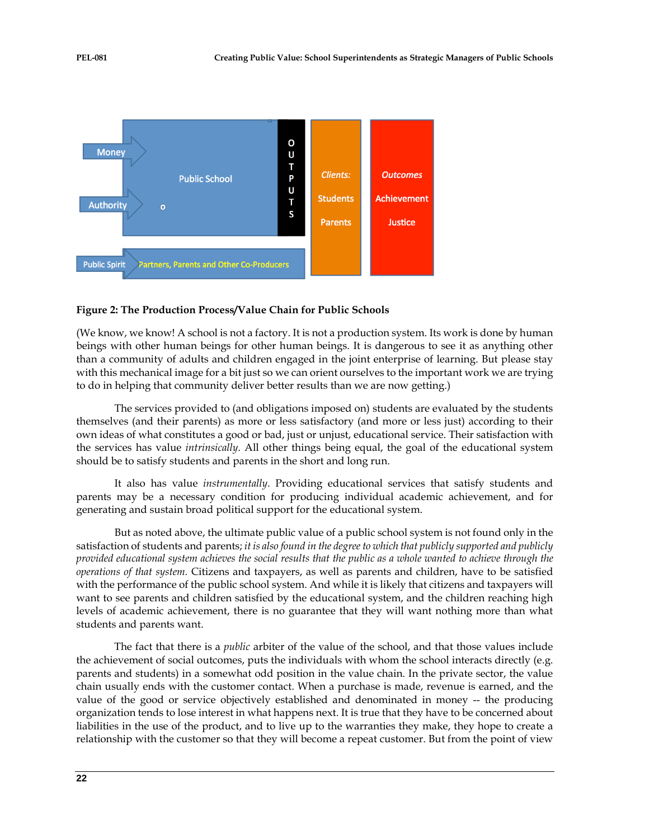

# **Figure 2: The Production Process/Value Chain for Public Schools**

(We know, we know! A school is not a factory. It is not a production system. Its work is done by human beings with other human beings for other human beings. It is dangerous to see it as anything other than a community of adults and children engaged in the joint enterprise of learning. But please stay with this mechanical image for a bit just so we can orient ourselves to the important work we are trying to do in helping that community deliver better results than we are now getting.)

The services provided to (and obligations imposed on) students are evaluated by the students themselves (and their parents) as more or less satisfactory (and more or less just) according to their own ideas of what constitutes a good or bad, just or unjust, educational service. Their satisfaction with the services has value *intrinsically*. All other things being equal, the goal of the educational system should be to satisfy students and parents in the short and long run.

It also has value *instrumentally*. Providing educational services that satisfy students and parents may be a necessary condition for producing individual academic achievement, and for generating and sustain broad political support for the educational system.

But as noted above, the ultimate public value of a public school system is not found only in the satisfaction of students and parents; *it is also found in the degree to which that publicly supported and publicly provided educational system achieves the social results that the public as a whole wanted to achieve through the operations of that system.* Citizens and taxpayers, as well as parents and children, have to be satisfied with the performance of the public school system. And while it is likely that citizens and taxpayers will want to see parents and children satisfied by the educational system, and the children reaching high levels of academic achievement, there is no guarantee that they will want nothing more than what students and parents want.

The fact that there is a *public* arbiter of the value of the school, and that those values include the achievement of social outcomes, puts the individuals with whom the school interacts directly (e.g. parents and students) in a somewhat odd position in the value chain. In the private sector, the value chain usually ends with the customer contact. When a purchase is made, revenue is earned, and the value of the good or service objectively established and denominated in money -- the producing organization tends to lose interest in what happens next. It is true that they have to be concerned about liabilities in the use of the product, and to live up to the warranties they make, they hope to create a relationship with the customer so that they will become a repeat customer. But from the point of view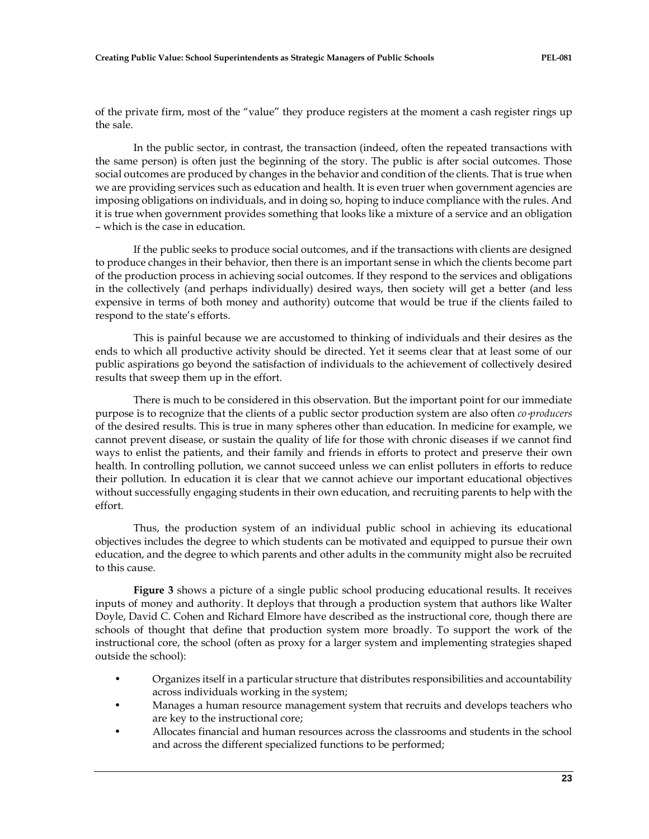of the private firm, most of the "value" they produce registers at the moment a cash register rings up the sale.

In the public sector, in contrast, the transaction (indeed, often the repeated transactions with the same person) is often just the beginning of the story. The public is after social outcomes. Those social outcomes are produced by changes in the behavior and condition of the clients. That is true when we are providing services such as education and health. It is even truer when government agencies are imposing obligations on individuals, and in doing so, hoping to induce compliance with the rules. And it is true when government provides something that looks like a mixture of a service and an obligation – which is the case in education.

If the public seeks to produce social outcomes, and if the transactions with clients are designed to produce changes in their behavior, then there is an important sense in which the clients become part of the production process in achieving social outcomes. If they respond to the services and obligations in the collectively (and perhaps individually) desired ways, then society will get a better (and less expensive in terms of both money and authority) outcome that would be true if the clients failed to respond to the state's efforts.

This is painful because we are accustomed to thinking of individuals and their desires as the ends to which all productive activity should be directed. Yet it seems clear that at least some of our public aspirations go beyond the satisfaction of individuals to the achievement of collectively desired results that sweep them up in the effort.

There is much to be considered in this observation. But the important point for our immediate purpose is to recognize that the clients of a public sector production system are also often *co-producers* of the desired results. This is true in many spheres other than education. In medicine for example, we cannot prevent disease, or sustain the quality of life for those with chronic diseases if we cannot find ways to enlist the patients, and their family and friends in efforts to protect and preserve their own health. In controlling pollution, we cannot succeed unless we can enlist polluters in efforts to reduce their pollution. In education it is clear that we cannot achieve our important educational objectives without successfully engaging students in their own education, and recruiting parents to help with the effort.

Thus, the production system of an individual public school in achieving its educational objectives includes the degree to which students can be motivated and equipped to pursue their own education, and the degree to which parents and other adults in the community might also be recruited to this cause.

**Figure 3** shows a picture of a single public school producing educational results. It receives inputs of money and authority. It deploys that through a production system that authors like Walter Doyle, David C. Cohen and Richard Elmore have described as the instructional core, though there are schools of thought that define that production system more broadly. To support the work of the instructional core, the school (often as proxy for a larger system and implementing strategies shaped outside the school):

- Organizes itself in a particular structure that distributes responsibilities and accountability across individuals working in the system;
- Manages a human resource management system that recruits and develops teachers who are key to the instructional core;
- Allocates financial and human resources across the classrooms and students in the school and across the different specialized functions to be performed;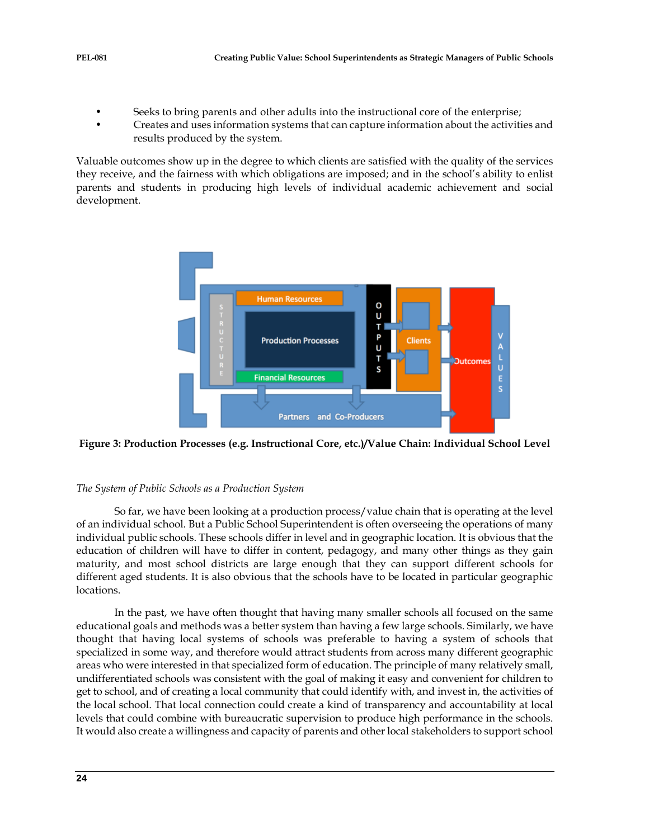- Seeks to bring parents and other adults into the instructional core of the enterprise;
- Creates and uses information systems that can capture information about the activities and results produced by the system.

Valuable outcomes show up in the degree to which clients are satisfied with the quality of the services they receive, and the fairness with which obligations are imposed; and in the school's ability to enlist parents and students in producing high levels of individual academic achievement and social development.



**Figure 3: Production Processes (e.g. Instructional Core, etc.)/Value Chain: Individual School Level**

# *The System of Public Schools as a Production System*

So far, we have been looking at a production process/value chain that is operating at the level of an individual school. But a Public School Superintendent is often overseeing the operations of many individual public schools. These schools differ in level and in geographic location. It is obvious that the education of children will have to differ in content, pedagogy, and many other things as they gain maturity, and most school districts are large enough that they can support different schools for different aged students. It is also obvious that the schools have to be located in particular geographic locations.

In the past, we have often thought that having many smaller schools all focused on the same educational goals and methods was a better system than having a few large schools. Similarly, we have thought that having local systems of schools was preferable to having a system of schools that specialized in some way, and therefore would attract students from across many different geographic areas who were interested in that specialized form of education. The principle of many relatively small, undifferentiated schools was consistent with the goal of making it easy and convenient for children to get to school, and of creating a local community that could identify with, and invest in, the activities of the local school. That local connection could create a kind of transparency and accountability at local levels that could combine with bureaucratic supervision to produce high performance in the schools. It would also create a willingness and capacity of parents and other local stakeholders to support school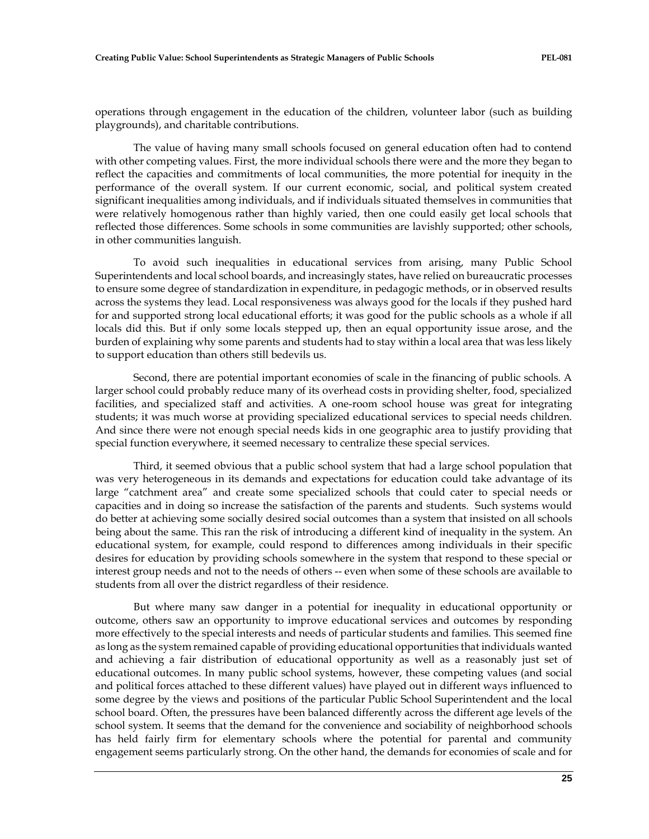operations through engagement in the education of the children, volunteer labor (such as building playgrounds), and charitable contributions.

The value of having many small schools focused on general education often had to contend with other competing values. First, the more individual schools there were and the more they began to reflect the capacities and commitments of local communities, the more potential for inequity in the performance of the overall system. If our current economic, social, and political system created significant inequalities among individuals, and if individuals situated themselves in communities that were relatively homogenous rather than highly varied, then one could easily get local schools that reflected those differences. Some schools in some communities are lavishly supported; other schools, in other communities languish.

To avoid such inequalities in educational services from arising, many Public School Superintendents and local school boards, and increasingly states, have relied on bureaucratic processes to ensure some degree of standardization in expenditure, in pedagogic methods, or in observed results across the systems they lead. Local responsiveness was always good for the locals if they pushed hard for and supported strong local educational efforts; it was good for the public schools as a whole if all locals did this. But if only some locals stepped up, then an equal opportunity issue arose, and the burden of explaining why some parents and students had to stay within a local area that was less likely to support education than others still bedevils us.

Second, there are potential important economies of scale in the financing of public schools. A larger school could probably reduce many of its overhead costs in providing shelter, food, specialized facilities, and specialized staff and activities. A one-room school house was great for integrating students; it was much worse at providing specialized educational services to special needs children. And since there were not enough special needs kids in one geographic area to justify providing that special function everywhere, it seemed necessary to centralize these special services.

Third, it seemed obvious that a public school system that had a large school population that was very heterogeneous in its demands and expectations for education could take advantage of its large "catchment area" and create some specialized schools that could cater to special needs or capacities and in doing so increase the satisfaction of the parents and students. Such systems would do better at achieving some socially desired social outcomes than a system that insisted on all schools being about the same. This ran the risk of introducing a different kind of inequality in the system. An educational system, for example, could respond to differences among individuals in their specific desires for education by providing schools somewhere in the system that respond to these special or interest group needs and not to the needs of others -- even when some of these schools are available to students from all over the district regardless of their residence.

But where many saw danger in a potential for inequality in educational opportunity or outcome, others saw an opportunity to improve educational services and outcomes by responding more effectively to the special interests and needs of particular students and families. This seemed fine as long as the system remained capable of providing educational opportunities that individuals wanted and achieving a fair distribution of educational opportunity as well as a reasonably just set of educational outcomes. In many public school systems, however, these competing values (and social and political forces attached to these different values) have played out in different ways influenced to some degree by the views and positions of the particular Public School Superintendent and the local school board. Often, the pressures have been balanced differently across the different age levels of the school system. It seems that the demand for the convenience and sociability of neighborhood schools has held fairly firm for elementary schools where the potential for parental and community engagement seems particularly strong. On the other hand, the demands for economies of scale and for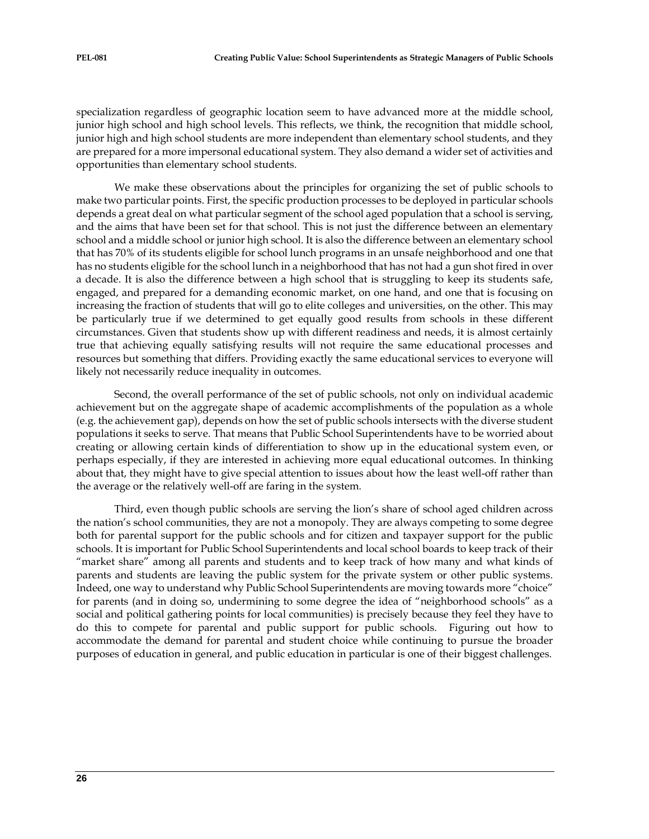specialization regardless of geographic location seem to have advanced more at the middle school, junior high school and high school levels. This reflects, we think, the recognition that middle school, junior high and high school students are more independent than elementary school students, and they are prepared for a more impersonal educational system. They also demand a wider set of activities and opportunities than elementary school students.

We make these observations about the principles for organizing the set of public schools to make two particular points. First, the specific production processes to be deployed in particular schools depends a great deal on what particular segment of the school aged population that a school is serving, and the aims that have been set for that school. This is not just the difference between an elementary school and a middle school or junior high school. It is also the difference between an elementary school that has 70% of its students eligible for school lunch programs in an unsafe neighborhood and one that has no students eligible for the school lunch in a neighborhood that has not had a gun shot fired in over a decade. It is also the difference between a high school that is struggling to keep its students safe, engaged, and prepared for a demanding economic market, on one hand, and one that is focusing on increasing the fraction of students that will go to elite colleges and universities, on the other. This may be particularly true if we determined to get equally good results from schools in these different circumstances. Given that students show up with different readiness and needs, it is almost certainly true that achieving equally satisfying results will not require the same educational processes and resources but something that differs. Providing exactly the same educational services to everyone will likely not necessarily reduce inequality in outcomes.

Second, the overall performance of the set of public schools, not only on individual academic achievement but on the aggregate shape of academic accomplishments of the population as a whole (e.g. the achievement gap), depends on how the set of public schools intersects with the diverse student populations it seeks to serve. That means that Public School Superintendents have to be worried about creating or allowing certain kinds of differentiation to show up in the educational system even, or perhaps especially, if they are interested in achieving more equal educational outcomes. In thinking about that, they might have to give special attention to issues about how the least well-off rather than the average or the relatively well-off are faring in the system.

Third, even though public schools are serving the lion's share of school aged children across the nation's school communities, they are not a monopoly. They are always competing to some degree both for parental support for the public schools and for citizen and taxpayer support for the public schools. It is important for Public School Superintendents and local school boards to keep track of their "market share" among all parents and students and to keep track of how many and what kinds of parents and students are leaving the public system for the private system or other public systems. Indeed, one way to understand why Public School Superintendents are moving towards more "choice" for parents (and in doing so, undermining to some degree the idea of "neighborhood schools" as a social and political gathering points for local communities) is precisely because they feel they have to do this to compete for parental and public support for public schools. Figuring out how to accommodate the demand for parental and student choice while continuing to pursue the broader purposes of education in general, and public education in particular is one of their biggest challenges.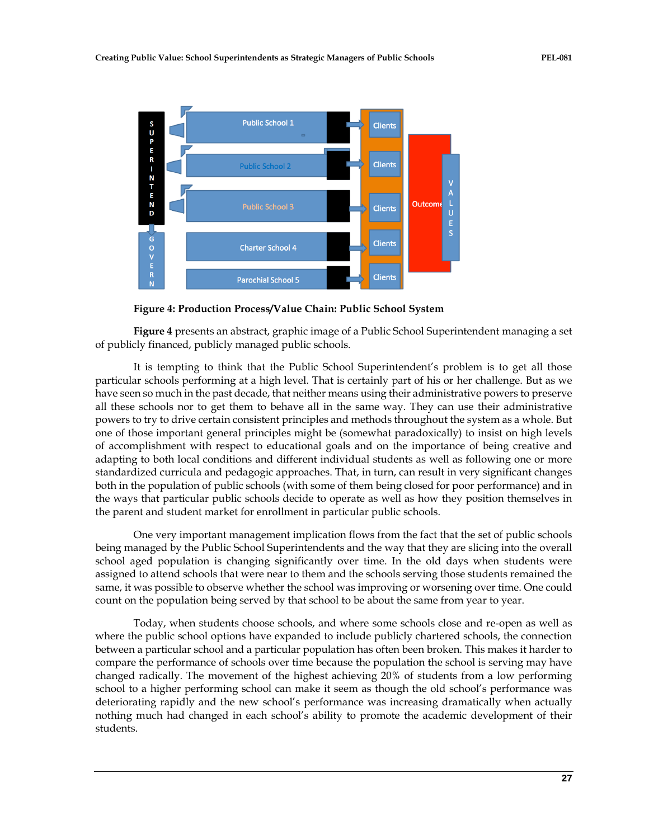

**Figure 4: Production Process/Value Chain: Public School System**

**Figure 4** presents an abstract, graphic image of a Public School Superintendent managing a set of publicly financed, publicly managed public schools.

It is tempting to think that the Public School Superintendent's problem is to get all those particular schools performing at a high level. That is certainly part of his or her challenge. But as we have seen so much in the past decade, that neither means using their administrative powers to preserve all these schools nor to get them to behave all in the same way. They can use their administrative powers to try to drive certain consistent principles and methods throughout the system as a whole. But one of those important general principles might be (somewhat paradoxically) to insist on high levels of accomplishment with respect to educational goals and on the importance of being creative and adapting to both local conditions and different individual students as well as following one or more standardized curricula and pedagogic approaches. That, in turn, can result in very significant changes both in the population of public schools (with some of them being closed for poor performance) and in the ways that particular public schools decide to operate as well as how they position themselves in the parent and student market for enrollment in particular public schools.

One very important management implication flows from the fact that the set of public schools being managed by the Public School Superintendents and the way that they are slicing into the overall school aged population is changing significantly over time. In the old days when students were assigned to attend schools that were near to them and the schools serving those students remained the same, it was possible to observe whether the school was improving or worsening over time. One could count on the population being served by that school to be about the same from year to year.

Today, when students choose schools, and where some schools close and re-open as well as where the public school options have expanded to include publicly chartered schools, the connection between a particular school and a particular population has often been broken. This makes it harder to compare the performance of schools over time because the population the school is serving may have changed radically. The movement of the highest achieving 20% of students from a low performing school to a higher performing school can make it seem as though the old school's performance was deteriorating rapidly and the new school's performance was increasing dramatically when actually nothing much had changed in each school's ability to promote the academic development of their students.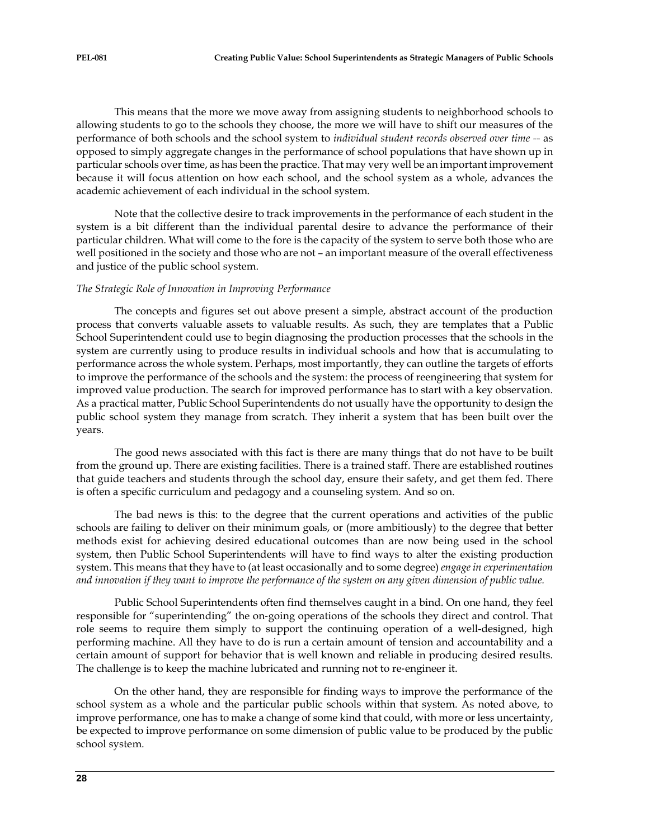This means that the more we move away from assigning students to neighborhood schools to allowing students to go to the schools they choose, the more we will have to shift our measures of the performance of both schools and the school system to *individual student records observed over time --* as opposed to simply aggregate changes in the performance of school populations that have shown up in particular schools over time, as has been the practice. That may very well be an important improvement because it will focus attention on how each school, and the school system as a whole, advances the academic achievement of each individual in the school system.

Note that the collective desire to track improvements in the performance of each student in the system is a bit different than the individual parental desire to advance the performance of their particular children. What will come to the fore is the capacity of the system to serve both those who are well positioned in the society and those who are not – an important measure of the overall effectiveness and justice of the public school system.

# *The Strategic Role of Innovation in Improving Performance*

The concepts and figures set out above present a simple, abstract account of the production process that converts valuable assets to valuable results. As such, they are templates that a Public School Superintendent could use to begin diagnosing the production processes that the schools in the system are currently using to produce results in individual schools and how that is accumulating to performance across the whole system. Perhaps, most importantly, they can outline the targets of efforts to improve the performance of the schools and the system: the process of reengineering that system for improved value production. The search for improved performance has to start with a key observation. As a practical matter, Public School Superintendents do not usually have the opportunity to design the public school system they manage from scratch. They inherit a system that has been built over the years.

The good news associated with this fact is there are many things that do not have to be built from the ground up. There are existing facilities. There is a trained staff. There are established routines that guide teachers and students through the school day, ensure their safety, and get them fed. There is often a specific curriculum and pedagogy and a counseling system. And so on.

The bad news is this: to the degree that the current operations and activities of the public schools are failing to deliver on their minimum goals, or (more ambitiously) to the degree that better methods exist for achieving desired educational outcomes than are now being used in the school system, then Public School Superintendents will have to find ways to alter the existing production system. This means that they have to (at least occasionally and to some degree) *engage in experimentation and innovation if they want to improve the performance of the system on any given dimension of public value.*

Public School Superintendents often find themselves caught in a bind. On one hand, they feel responsible for "superintending" the on‐going operations of the schools they direct and control. That role seems to require them simply to support the continuing operation of a well-designed, high performing machine. All they have to do is run a certain amount of tension and accountability and a certain amount of support for behavior that is well known and reliable in producing desired results. The challenge is to keep the machine lubricated and running not to re-engineer it.

On the other hand, they are responsible for finding ways to improve the performance of the school system as a whole and the particular public schools within that system. As noted above, to improve performance, one has to make a change of some kind that could, with more or less uncertainty, be expected to improve performance on some dimension of public value to be produced by the public school system.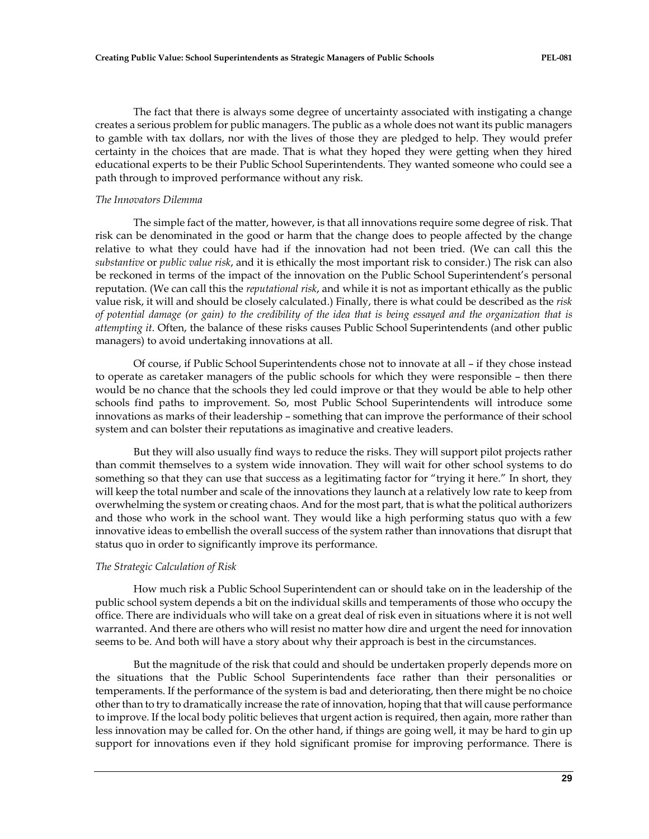The fact that there is always some degree of uncertainty associated with instigating a change creates a serious problem for public managers. The public as a whole does not want its public managers to gamble with tax dollars, nor with the lives of those they are pledged to help. They would prefer certainty in the choices that are made. That is what they hoped they were getting when they hired educational experts to be their Public School Superintendents. They wanted someone who could see a path through to improved performance without any risk.

#### *The Innovators Dilemma*

The simple fact of the matter, however, is that all innovations require some degree of risk. That risk can be denominated in the good or harm that the change does to people affected by the change relative to what they could have had if the innovation had not been tried. (We can call this the *substantive* or *public value risk*, and it is ethically the most important risk to consider.) The risk can also be reckoned in terms of the impact of the innovation on the Public School Superintendent's personal reputation. (We can call this the *reputational risk*, and while it is not as important ethically as the public value risk, it will and should be closely calculated.) Finally, there is what could be described as the *risk of potential damage (or gain) to the credibility of the idea that is being essayed and the organization that is attempting it*. Often, the balance of these risks causes Public School Superintendents (and other public managers) to avoid undertaking innovations at all.

Of course, if Public School Superintendents chose not to innovate at all – if they chose instead to operate as caretaker managers of the public schools for which they were responsible – then there would be no chance that the schools they led could improve or that they would be able to help other schools find paths to improvement. So, most Public School Superintendents will introduce some innovations as marks of their leadership – something that can improve the performance of their school system and can bolster their reputations as imaginative and creative leaders.

But they will also usually find ways to reduce the risks. They will support pilot projects rather than commit themselves to a system wide innovation. They will wait for other school systems to do something so that they can use that success as a legitimating factor for "trying it here." In short, they will keep the total number and scale of the innovations they launch at a relatively low rate to keep from overwhelming the system or creating chaos. And for the most part, that is what the political authorizers and those who work in the school want. They would like a high performing status quo with a few innovative ideas to embellish the overall success of the system rather than innovations that disrupt that status quo in order to significantly improve its performance.

#### *The Strategic Calculation of Risk*

How much risk a Public School Superintendent can or should take on in the leadership of the public school system depends a bit on the individual skills and temperaments of those who occupy the office. There are individuals who will take on a great deal of risk even in situations where it is not well warranted. And there are others who will resist no matter how dire and urgent the need for innovation seems to be. And both will have a story about why their approach is best in the circumstances.

But the magnitude of the risk that could and should be undertaken properly depends more on the situations that the Public School Superintendents face rather than their personalities or temperaments. If the performance of the system is bad and deteriorating, then there might be no choice other than to try to dramatically increase the rate of innovation, hoping that that will cause performance to improve. If the local body politic believes that urgent action is required, then again, more rather than less innovation may be called for. On the other hand, if things are going well, it may be hard to gin up support for innovations even if they hold significant promise for improving performance. There is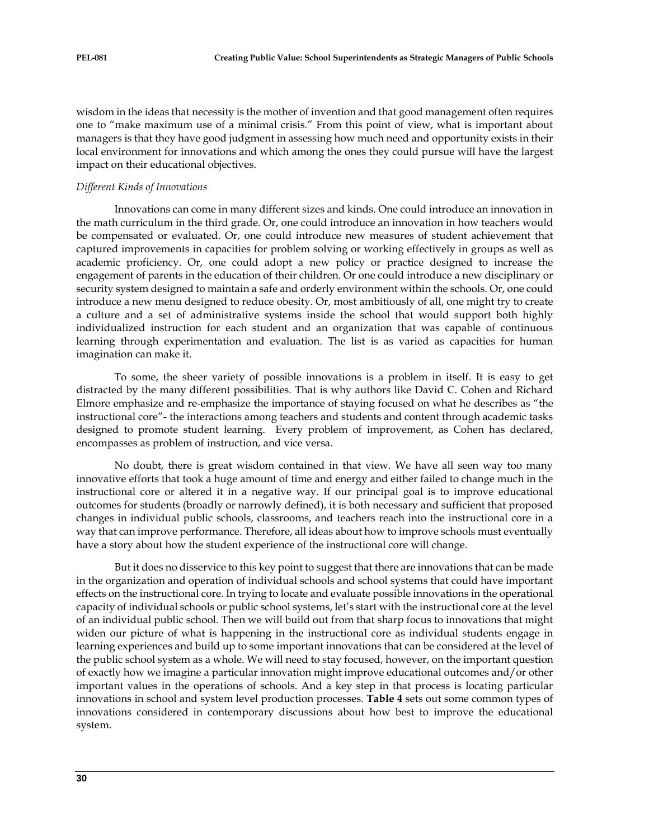wisdom in the ideas that necessity is the mother of invention and that good management often requires one to "make maximum use of a minimal crisis." From this point of view, what is important about managers is that they have good judgment in assessing how much need and opportunity exists in their local environment for innovations and which among the ones they could pursue will have the largest impact on their educational objectives.

## *Different Kinds of Innovations*

Innovations can come in many different sizes and kinds. One could introduce an innovation in the math curriculum in the third grade. Or, one could introduce an innovation in how teachers would be compensated or evaluated. Or, one could introduce new measures of student achievement that captured improvements in capacities for problem solving or working effectively in groups as well as academic proficiency. Or, one could adopt a new policy or practice designed to increase the engagement of parents in the education of their children. Or one could introduce a new disciplinary or security system designed to maintain a safe and orderly environment within the schools. Or, one could introduce a new menu designed to reduce obesity. Or, most ambitiously of all, one might try to create a culture and a set of administrative systems inside the school that would support both highly individualized instruction for each student and an organization that was capable of continuous learning through experimentation and evaluation. The list is as varied as capacities for human imagination can make it.

To some, the sheer variety of possible innovations is a problem in itself. It is easy to get distracted by the many different possibilities. That is why authors like David C. Cohen and Richard Elmore emphasize and re-emphasize the importance of staying focused on what he describes as "the instructional core"- the interactions among teachers and students and content through academic tasks designed to promote student learning. Every problem of improvement, as Cohen has declared, encompasses as problem of instruction, and vice versa.

No doubt, there is great wisdom contained in that view. We have all seen way too many innovative efforts that took a huge amount of time and energy and either failed to change much in the instructional core or altered it in a negative way. If our principal goal is to improve educational outcomes for students (broadly or narrowly defined), it is both necessary and sufficient that proposed changes in individual public schools, classrooms, and teachers reach into the instructional core in a way that can improve performance. Therefore, all ideas about how to improve schools must eventually have a story about how the student experience of the instructional core will change.

But it does no disservice to this key point to suggest that there are innovations that can be made in the organization and operation of individual schools and school systems that could have important effects on the instructional core. In trying to locate and evaluate possible innovations in the operational capacity of individual schools or public school systems, let's start with the instructional core at the level of an individual public school. Then we will build out from that sharp focus to innovations that might widen our picture of what is happening in the instructional core as individual students engage in learning experiences and build up to some important innovations that can be considered at the level of the public school system as a whole. We will need to stay focused, however, on the important question of exactly how we imagine a particular innovation might improve educational outcomes and/or other important values in the operations of schools. And a key step in that process is locating particular innovations in school and system level production processes. **Table 4** sets out some common types of innovations considered in contemporary discussions about how best to improve the educational system.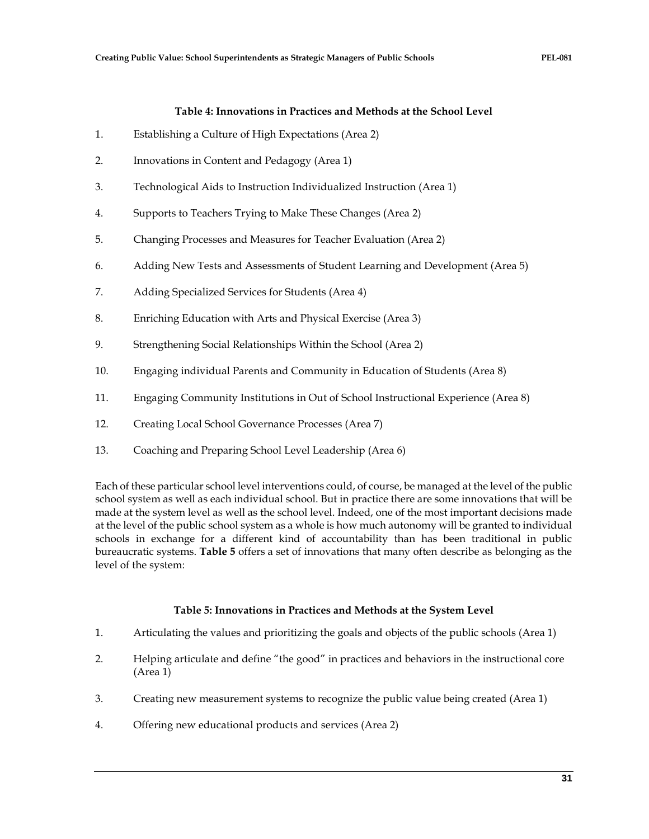## **Table 4: Innovations in Practices and Methods at the School Level**

- 1. Establishing a Culture of High Expectations (Area 2)
- 2. Innovations in Content and Pedagogy (Area 1)
- 3. Technological Aids to Instruction Individualized Instruction (Area 1)
- 4. Supports to Teachers Trying to Make These Changes (Area 2)
- 5. Changing Processes and Measures for Teacher Evaluation (Area 2)
- 6. Adding New Tests and Assessments of Student Learning and Development (Area 5)
- 7. Adding Specialized Services for Students (Area 4)
- 8. Enriching Education with Arts and Physical Exercise (Area 3)
- 9. Strengthening Social Relationships Within the School (Area 2)
- 10. Engaging individual Parents and Community in Education of Students (Area 8)
- 11. Engaging Community Institutions in Out of School Instructional Experience (Area 8)
- 12. Creating Local School Governance Processes (Area 7)
- 13. Coaching and Preparing School Level Leadership (Area 6)

Each of these particular school level interventions could, of course, be managed at the level of the public school system as well as each individual school. But in practice there are some innovations that will be made at the system level as well as the school level. Indeed, one of the most important decisions made at the level of the public school system as a whole is how much autonomy will be granted to individual schools in exchange for a different kind of accountability than has been traditional in public bureaucratic systems. **Table 5** offers a set of innovations that many often describe as belonging as the level of the system:

# **Table 5: Innovations in Practices and Methods at the System Level**

- 1. Articulating the values and prioritizing the goals and objects of the public schools (Area 1)
- 2. Helping articulate and define "the good" in practices and behaviors in the instructional core (Area 1)
- 3. Creating new measurement systems to recognize the public value being created (Area 1)
- 4. Offering new educational products and services (Area 2)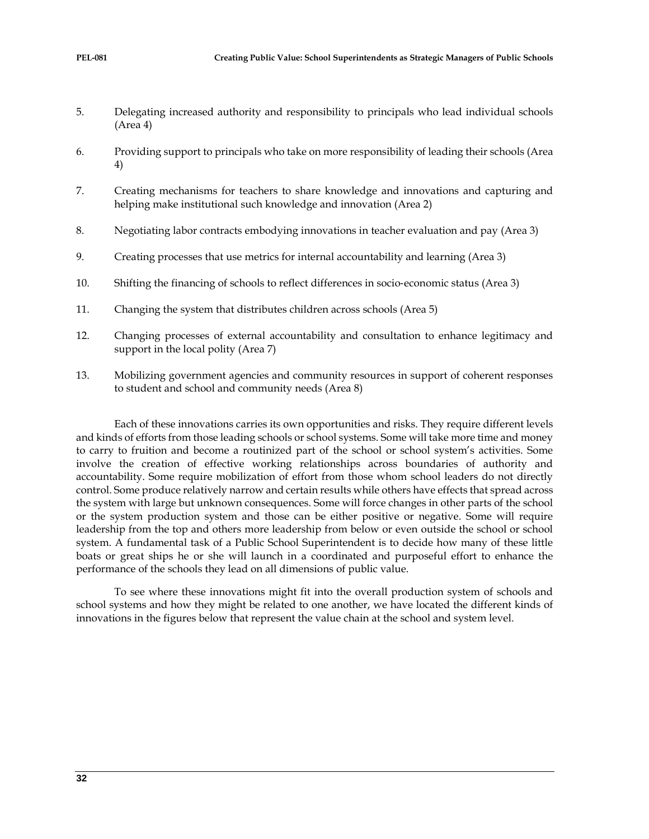- 5. Delegating increased authority and responsibility to principals who lead individual schools (Area 4)
- 6. Providing support to principals who take on more responsibility of leading their schools (Area 4)
- 7. Creating mechanisms for teachers to share knowledge and innovations and capturing and helping make institutional such knowledge and innovation (Area 2)
- 8. Negotiating labor contracts embodying innovations in teacher evaluation and pay (Area 3)
- 9. Creating processes that use metrics for internal accountability and learning (Area 3)
- 10. Shifting the financing of schools to reflect differences in socio-economic status (Area 3)
- 11. Changing the system that distributes children across schools (Area 5)
- 12. Changing processes of external accountability and consultation to enhance legitimacy and support in the local polity (Area 7)
- 13. Mobilizing government agencies and community resources in support of coherent responses to student and school and community needs (Area 8)

Each of these innovations carries its own opportunities and risks. They require different levels and kinds of efforts from those leading schools or school systems. Some will take more time and money to carry to fruition and become a routinized part of the school or school system's activities. Some involve the creation of effective working relationships across boundaries of authority and accountability. Some require mobilization of effort from those whom school leaders do not directly control. Some produce relatively narrow and certain results while others have effects that spread across the system with large but unknown consequences. Some will force changes in other parts of the school or the system production system and those can be either positive or negative. Some will require leadership from the top and others more leadership from below or even outside the school or school system. A fundamental task of a Public School Superintendent is to decide how many of these little boats or great ships he or she will launch in a coordinated and purposeful effort to enhance the performance of the schools they lead on all dimensions of public value.

To see where these innovations might fit into the overall production system of schools and school systems and how they might be related to one another, we have located the different kinds of innovations in the figures below that represent the value chain at the school and system level.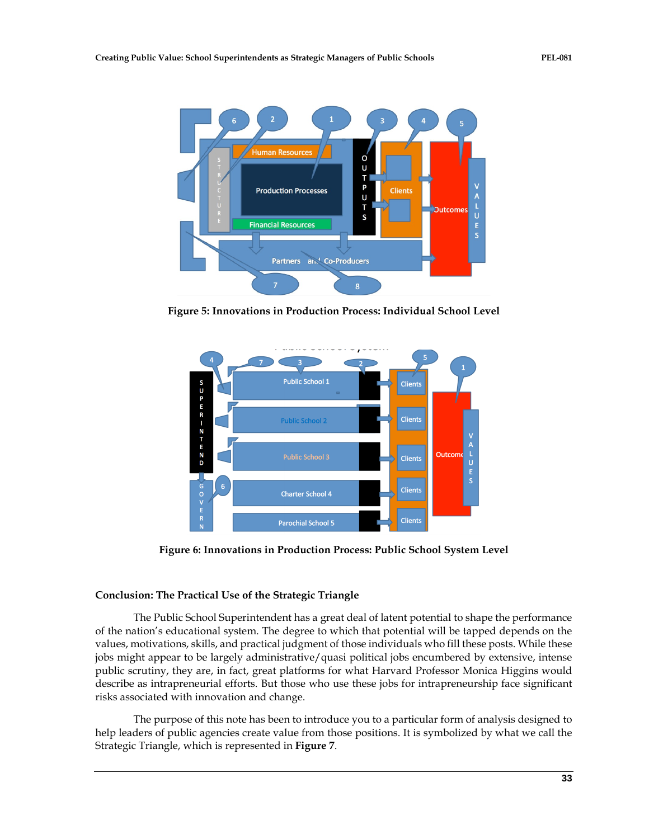

**Figure 5: Innovations in Production Process: Individual School Level**



**Figure 6: Innovations in Production Process: Public School System Level**

# **Conclusion: The Practical Use of the Strategic Triangle**

The Public School Superintendent has a great deal of latent potential to shape the performance of the nation's educational system. The degree to which that potential will be tapped depends on the values, motivations, skills, and practical judgment of those individuals who fill these posts. While these jobs might appear to be largely administrative/quasi political jobs encumbered by extensive, intense public scrutiny, they are, in fact, great platforms for what Harvard Professor Monica Higgins would describe as intrapreneurial efforts. But those who use these jobs for intrapreneurship face significant risks associated with innovation and change.

The purpose of this note has been to introduce you to a particular form of analysis designed to help leaders of public agencies create value from those positions. It is symbolized by what we call the Strategic Triangle, which is represented in **Figure 7**.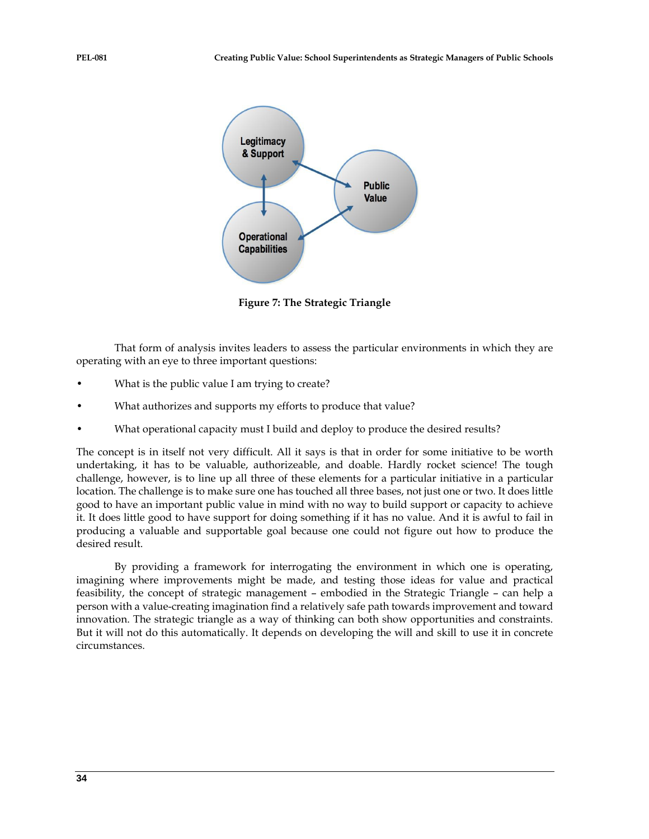

**Figure 7: The Strategic Triangle**

That form of analysis invites leaders to assess the particular environments in which they are operating with an eye to three important questions:

- What is the public value I am trying to create?
- What authorizes and supports my efforts to produce that value?
- What operational capacity must I build and deploy to produce the desired results?

The concept is in itself not very difficult. All it says is that in order for some initiative to be worth undertaking, it has to be valuable, authorizeable, and doable. Hardly rocket science! The tough challenge, however, is to line up all three of these elements for a particular initiative in a particular location. The challenge is to make sure one has touched all three bases, not just one or two. It does little good to have an important public value in mind with no way to build support or capacity to achieve it. It does little good to have support for doing something if it has no value. And it is awful to fail in producing a valuable and supportable goal because one could not figure out how to produce the desired result.

By providing a framework for interrogating the environment in which one is operating, imagining where improvements might be made, and testing those ideas for value and practical feasibility, the concept of strategic management – embodied in the Strategic Triangle – can help a person with a value-creating imagination find a relatively safe path towards improvement and toward innovation. The strategic triangle as a way of thinking can both show opportunities and constraints. But it will not do this automatically. It depends on developing the will and skill to use it in concrete circumstances.